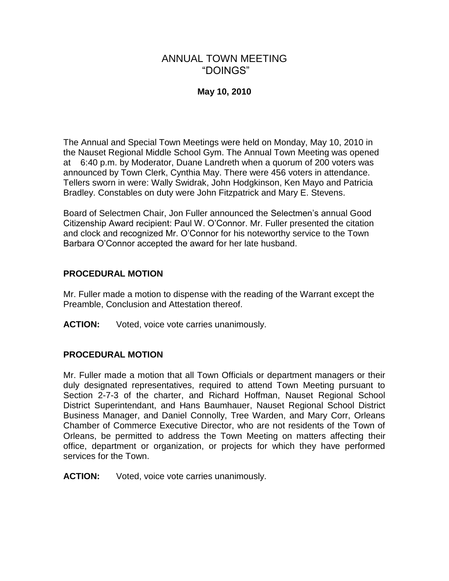# ANNUAL TOWN MEETING "DOINGS"

# **May 10, 2010**

The Annual and Special Town Meetings were held on Monday, May 10, 2010 in the Nauset Regional Middle School Gym. The Annual Town Meeting was opened at 6:40 p.m. by Moderator, Duane Landreth when a quorum of 200 voters was announced by Town Clerk, Cynthia May. There were 456 voters in attendance. Tellers sworn in were: Wally Swidrak, John Hodgkinson, Ken Mayo and Patricia Bradley. Constables on duty were John Fitzpatrick and Mary E. Stevens.

Board of Selectmen Chair, Jon Fuller announced the Selectmen's annual Good Citizenship Award recipient: Paul W. O'Connor. Mr. Fuller presented the citation and clock and recognized Mr. O'Connor for his noteworthy service to the Town Barbara O'Connor accepted the award for her late husband.

## **PROCEDURAL MOTION**

Mr. Fuller made a motion to dispense with the reading of the Warrant except the Preamble, Conclusion and Attestation thereof.

**ACTION:** Voted, voice vote carries unanimously.

## **PROCEDURAL MOTION**

Mr. Fuller made a motion that all Town Officials or department managers or their duly designated representatives, required to attend Town Meeting pursuant to Section 2-7-3 of the charter, and Richard Hoffman, Nauset Regional School District Superintendant, and Hans Baumhauer, Nauset Regional School District Business Manager, and Daniel Connolly, Tree Warden, and Mary Corr, Orleans Chamber of Commerce Executive Director, who are not residents of the Town of Orleans, be permitted to address the Town Meeting on matters affecting their office, department or organization, or projects for which they have performed services for the Town.

**ACTION:** Voted, voice vote carries unanimously.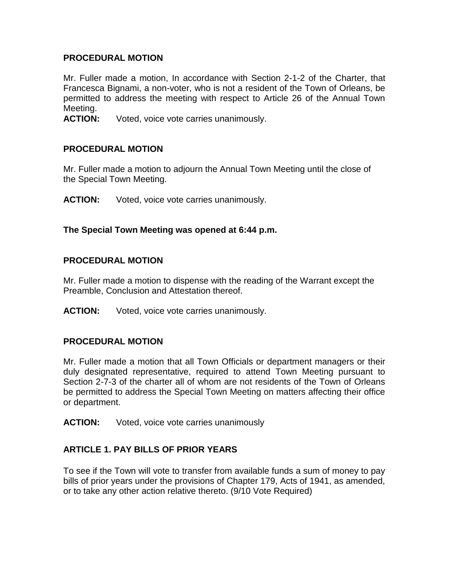#### **PROCEDURAL MOTION**

Mr. Fuller made a motion, In accordance with Section 2-1-2 of the Charter, that Francesca Bignami, a non-voter, who is not a resident of the Town of Orleans, be permitted to address the meeting with respect to Article 26 of the Annual Town Meeting.

**ACTION:** Voted, voice vote carries unanimously.

#### **PROCEDURAL MOTION**

Mr. Fuller made a motion to adjourn the Annual Town Meeting until the close of the Special Town Meeting.

**ACTION:** Voted, voice vote carries unanimously.

## **The Special Town Meeting was opened at 6:44 p.m.**

#### **PROCEDURAL MOTION**

Mr. Fuller made a motion to dispense with the reading of the Warrant except the Preamble, Conclusion and Attestation thereof.

**ACTION:** Voted, voice vote carries unanimously.

#### **PROCEDURAL MOTION**

Mr. Fuller made a motion that all Town Officials or department managers or their duly designated representative, required to attend Town Meeting pursuant to Section 2-7-3 of the charter all of whom are not residents of the Town of Orleans be permitted to address the Special Town Meeting on matters affecting their office or department.

**ACTION:** Voted, voice vote carries unanimously

## **ARTICLE 1. PAY BILLS OF PRIOR YEARS**

To see if the Town will vote to transfer from available funds a sum of money to pay bills of prior years under the provisions of Chapter 179, Acts of 1941, as amended, or to take any other action relative thereto. (9/10 Vote Required)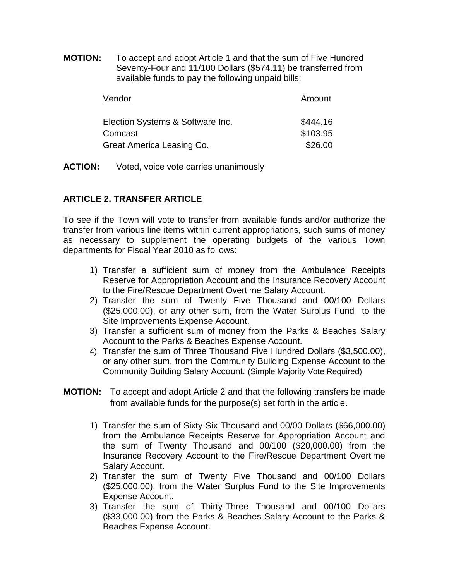**MOTION:** To accept and adopt Article 1 and that the sum of Five Hundred Seventy-Four and 11/100 Dollars (\$574.11) be transferred from available funds to pay the following unpaid bills:

| Vendor                                      | Amount               |  |  |  |  |
|---------------------------------------------|----------------------|--|--|--|--|
| Election Systems & Software Inc.<br>Comcast | \$444.16<br>\$103.95 |  |  |  |  |
| Great America Leasing Co.                   | \$26.00              |  |  |  |  |

**ACTION:** Voted, voice vote carries unanimously

# **ARTICLE 2. TRANSFER ARTICLE**

To see if the Town will vote to transfer from available funds and/or authorize the transfer from various line items within current appropriations, such sums of money as necessary to supplement the operating budgets of the various Town departments for Fiscal Year 2010 as follows:

- 1) Transfer a sufficient sum of money from the Ambulance Receipts Reserve for Appropriation Account and the Insurance Recovery Account to the Fire/Rescue Department Overtime Salary Account.
- 2) Transfer the sum of Twenty Five Thousand and 00/100 Dollars (\$25,000.00), or any other sum, from the Water Surplus Fund to the Site Improvements Expense Account.
- 3) Transfer a sufficient sum of money from the Parks & Beaches Salary Account to the Parks & Beaches Expense Account.
- 4) Transfer the sum of Three Thousand Five Hundred Dollars (\$3,500.00), or any other sum, from the Community Building Expense Account to the Community Building Salary Account. (Simple Majority Vote Required)
- **MOTION:** To accept and adopt Article 2 and that the following transfers be made from available funds for the purpose(s) set forth in the article.
	- 1) Transfer the sum of Sixty-Six Thousand and 00/00 Dollars (\$66,000.00) from the Ambulance Receipts Reserve for Appropriation Account and the sum of Twenty Thousand and 00/100 (\$20,000.00) from the Insurance Recovery Account to the Fire/Rescue Department Overtime Salary Account.
	- 2) Transfer the sum of Twenty Five Thousand and 00/100 Dollars (\$25,000.00), from the Water Surplus Fund to the Site Improvements Expense Account.
	- 3) Transfer the sum of Thirty-Three Thousand and 00/100 Dollars (\$33,000.00) from the Parks & Beaches Salary Account to the Parks & Beaches Expense Account.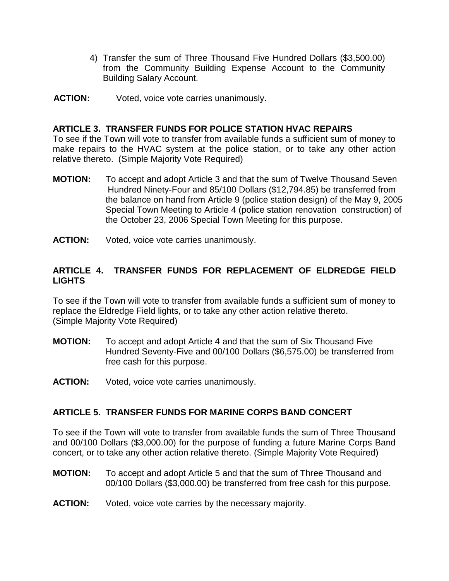- 4) Transfer the sum of Three Thousand Five Hundred Dollars (\$3,500.00) from the Community Building Expense Account to the Community Building Salary Account.
- **ACTION:** Voted, voice vote carries unanimously.

#### **ARTICLE 3. TRANSFER FUNDS FOR POLICE STATION HVAC REPAIRS**

To see if the Town will vote to transfer from available funds a sufficient sum of money to make repairs to the HVAC system at the police station, or to take any other action relative thereto. (Simple Majority Vote Required)

- **MOTION:** To accept and adopt Article 3 and that the sum of Twelve Thousand Seven Hundred Ninety-Four and 85/100 Dollars (\$12,794.85) be transferred from the balance on hand from Article 9 (police station design) of the May 9, 2005 Special Town Meeting to Article 4 (police station renovation construction) of the October 23, 2006 Special Town Meeting for this purpose.
- **ACTION:** Voted, voice vote carries unanimously.

# **ARTICLE 4. TRANSFER FUNDS FOR REPLACEMENT OF ELDREDGE FIELD LIGHTS**

To see if the Town will vote to transfer from available funds a sufficient sum of money to replace the Eldredge Field lights, or to take any other action relative thereto. (Simple Majority Vote Required)

- **MOTION:** To accept and adopt Article 4 and that the sum of Six Thousand Five Hundred Seventy-Five and 00/100 Dollars (\$6,575.00) be transferred from free cash for this purpose.
- **ACTION:** Voted, voice vote carries unanimously.

#### **ARTICLE 5. TRANSFER FUNDS FOR MARINE CORPS BAND CONCERT**

To see if the Town will vote to transfer from available funds the sum of Three Thousand and 00/100 Dollars (\$3,000.00) for the purpose of funding a future Marine Corps Band concert, or to take any other action relative thereto. (Simple Majority Vote Required)

- **MOTION:** To accept and adopt Article 5 and that the sum of Three Thousand and 00/100 Dollars (\$3,000.00) be transferred from free cash for this purpose.
- **ACTION:** Voted, voice vote carries by the necessary majority.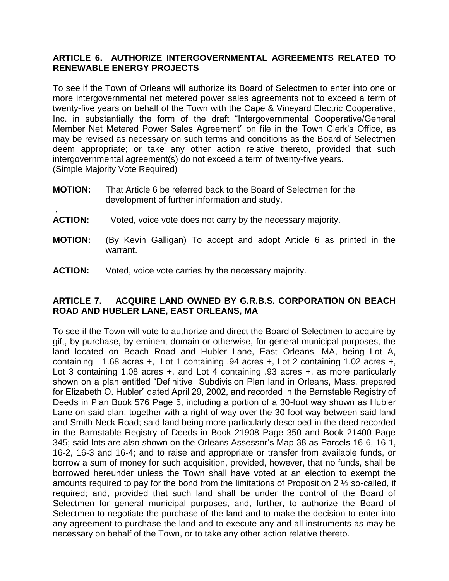# **ARTICLE 6. AUTHORIZE INTERGOVERNMENTAL AGREEMENTS RELATED TO RENEWABLE ENERGY PROJECTS**

To see if the Town of Orleans will authorize its Board of Selectmen to enter into one or more intergovernmental net metered power sales agreements not to exceed a term of twenty-five years on behalf of the Town with the Cape & Vineyard Electric Cooperative, Inc. in substantially the form of the draft "Intergovernmental Cooperative/General Member Net Metered Power Sales Agreement" on file in the Town Clerk's Office, as may be revised as necessary on such terms and conditions as the Board of Selectmen deem appropriate; or take any other action relative thereto, provided that such intergovernmental agreement(s) do not exceed a term of twenty-five years. (Simple Majority Vote Required)

- **MOTION:** That Article 6 be referred back to the Board of Selectmen for the development of further information and study.
- **ACTION:** Voted, voice vote does not carry by the necessary majority.
- **MOTION:** (By Kevin Galligan) To accept and adopt Article 6 as printed in the warrant.
- **ACTION:** Voted, voice vote carries by the necessary majority.

.

# **ARTICLE 7. ACQUIRE LAND OWNED BY G.R.B.S. CORPORATION ON BEACH ROAD AND HUBLER LANE, EAST ORLEANS, MA**

To see if the Town will vote to authorize and direct the Board of Selectmen to acquire by gift, by purchase, by eminent domain or otherwise, for general municipal purposes, the land located on Beach Road and Hubler Lane, East Orleans, MA, being Lot A, containing 1.68 acres +, Lot 1 containing .94 acres +, Lot 2 containing 1.02 acres +, Lot 3 containing 1.08 acres +, and Lot 4 containing .93 acres +, as more particularly shown on a plan entitled "Definitive Subdivision Plan land in Orleans, Mass. prepared for Elizabeth O. Hubler" dated April 29, 2002, and recorded in the Barnstable Registry of Deeds in Plan Book 576 Page 5, including a portion of a 30-foot way shown as Hubler Lane on said plan, together with a right of way over the 30-foot way between said land and Smith Neck Road; said land being more particularly described in the deed recorded in the Barnstable Registry of Deeds in Book 21908 Page 350 and Book 21400 Page 345; said lots are also shown on the Orleans Assessor's Map 38 as Parcels 16-6, 16-1, 16-2, 16-3 and 16-4; and to raise and appropriate or transfer from available funds, or borrow a sum of money for such acquisition, provided, however, that no funds, shall be borrowed hereunder unless the Town shall have voted at an election to exempt the amounts required to pay for the bond from the limitations of Proposition 2 ½ so-called, if required; and, provided that such land shall be under the control of the Board of Selectmen for general municipal purposes, and, further, to authorize the Board of Selectmen to negotiate the purchase of the land and to make the decision to enter into any agreement to purchase the land and to execute any and all instruments as may be necessary on behalf of the Town, or to take any other action relative thereto.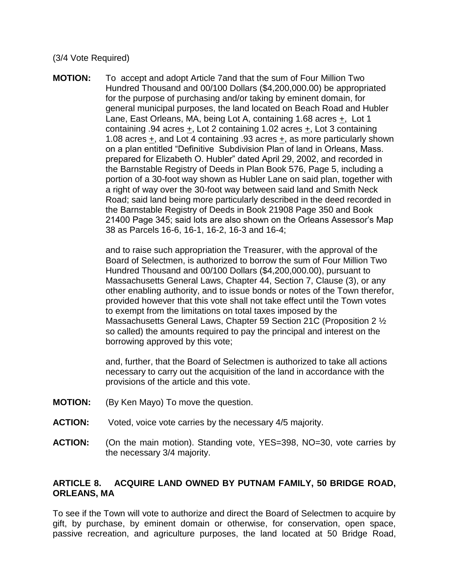#### (3/4 Vote Required)

**MOTION:** To accept and adopt Article 7and that the sum of Four Million Two Hundred Thousand and 00/100 Dollars (\$4,200,000.00) be appropriated for the purpose of purchasing and/or taking by eminent domain, for general municipal purposes, the land located on Beach Road and Hubler Lane, East Orleans, MA, being Lot A, containing 1.68 acres  $\pm$ , Lot 1 containing .94 acres +, Lot 2 containing 1.02 acres +, Lot 3 containing 1.08 acres +, and Lot 4 containing .93 acres +, as more particularly shown on a plan entitled "Definitive Subdivision Plan of land in Orleans, Mass. prepared for Elizabeth O. Hubler" dated April 29, 2002, and recorded in the Barnstable Registry of Deeds in Plan Book 576, Page 5, including a portion of a 30-foot way shown as Hubler Lane on said plan, together with a right of way over the 30-foot way between said land and Smith Neck Road; said land being more particularly described in the deed recorded in the Barnstable Registry of Deeds in Book 21908 Page 350 and Book 21400 Page 345; said lots are also shown on the Orleans Assessor's Map 38 as Parcels 16-6, 16-1, 16-2, 16-3 and 16-4;

> and to raise such appropriation the Treasurer, with the approval of the Board of Selectmen, is authorized to borrow the sum of Four Million Two Hundred Thousand and 00/100 Dollars (\$4,200,000.00), pursuant to Massachusetts General Laws, Chapter 44, Section 7, Clause (3), or any other enabling authority, and to issue bonds or notes of the Town therefor, provided however that this vote shall not take effect until the Town votes to exempt from the limitations on total taxes imposed by the Massachusetts General Laws, Chapter 59 Section 21C (Proposition 2 ½ so called) the amounts required to pay the principal and interest on the borrowing approved by this vote;

and, further, that the Board of Selectmen is authorized to take all actions necessary to carry out the acquisition of the land in accordance with the provisions of the article and this vote.

- **MOTION:** (By Ken Mayo) To move the question.
- **ACTION:** Voted, voice vote carries by the necessary 4/5 majority.
- **ACTION:** (On the main motion). Standing vote, YES=398, NO=30, vote carries by the necessary 3/4 majority.

## **ARTICLE 8. ACQUIRE LAND OWNED BY PUTNAM FAMILY, 50 BRIDGE ROAD, ORLEANS, MA**

To see if the Town will vote to authorize and direct the Board of Selectmen to acquire by gift, by purchase, by eminent domain or otherwise, for conservation, open space, passive recreation, and agriculture purposes, the land located at 50 Bridge Road,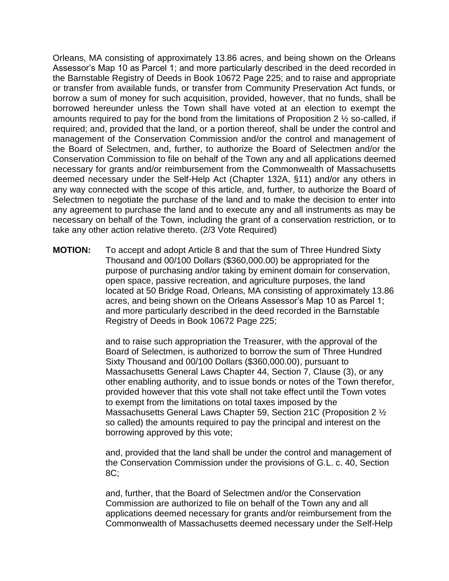Orleans, MA consisting of approximately 13.86 acres, and being shown on the Orleans Assessor's Map 10 as Parcel 1; and more particularly described in the deed recorded in the Barnstable Registry of Deeds in Book 10672 Page 225; and to raise and appropriate or transfer from available funds, or transfer from Community Preservation Act funds, or borrow a sum of money for such acquisition, provided, however, that no funds, shall be borrowed hereunder unless the Town shall have voted at an election to exempt the amounts required to pay for the bond from the limitations of Proposition 2 ½ so-called, if required; and, provided that the land, or a portion thereof, shall be under the control and management of the Conservation Commission and/or the control and management of the Board of Selectmen, and, further, to authorize the Board of Selectmen and/or the Conservation Commission to file on behalf of the Town any and all applications deemed necessary for grants and/or reimbursement from the Commonwealth of Massachusetts deemed necessary under the Self-Help Act (Chapter 132A, §11) and/or any others in any way connected with the scope of this article, and, further, to authorize the Board of Selectmen to negotiate the purchase of the land and to make the decision to enter into any agreement to purchase the land and to execute any and all instruments as may be necessary on behalf of the Town, including the grant of a conservation restriction, or to take any other action relative thereto. (2/3 Vote Required)

**MOTION:** To accept and adopt Article 8 and that the sum of Three Hundred Sixty Thousand and 00/100 Dollars (\$360,000.00) be appropriated for the purpose of purchasing and/or taking by eminent domain for conservation, open space, passive recreation, and agriculture purposes, the land located at 50 Bridge Road, Orleans, MA consisting of approximately 13.86 acres, and being shown on the Orleans Assessor's Map 10 as Parcel 1; and more particularly described in the deed recorded in the Barnstable Registry of Deeds in Book 10672 Page 225;

> and to raise such appropriation the Treasurer, with the approval of the Board of Selectmen, is authorized to borrow the sum of Three Hundred Sixty Thousand and 00/100 Dollars (\$360,000.00), pursuant to Massachusetts General Laws Chapter 44, Section 7, Clause (3), or any other enabling authority, and to issue bonds or notes of the Town therefor, provided however that this vote shall not take effect until the Town votes to exempt from the limitations on total taxes imposed by the Massachusetts General Laws Chapter 59, Section 21C (Proposition 2 ½ so called) the amounts required to pay the principal and interest on the borrowing approved by this vote;

> and, provided that the land shall be under the control and management of the Conservation Commission under the provisions of G.L. c. 40, Section 8C;

> and, further, that the Board of Selectmen and/or the Conservation Commission are authorized to file on behalf of the Town any and all applications deemed necessary for grants and/or reimbursement from the Commonwealth of Massachusetts deemed necessary under the Self-Help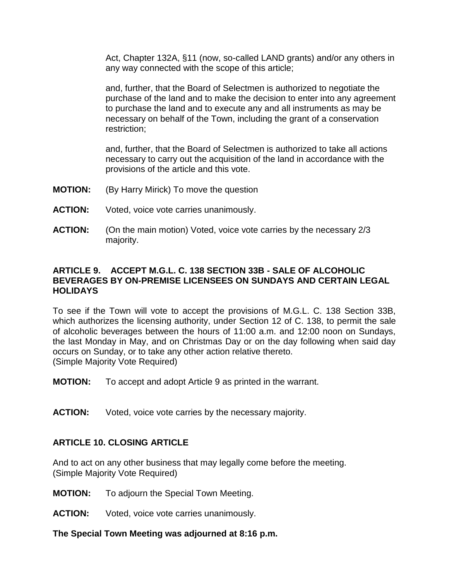Act, Chapter 132A, §11 (now, so-called LAND grants) and/or any others in any way connected with the scope of this article;

and, further, that the Board of Selectmen is authorized to negotiate the purchase of the land and to make the decision to enter into any agreement to purchase the land and to execute any and all instruments as may be necessary on behalf of the Town, including the grant of a conservation restriction;

and, further, that the Board of Selectmen is authorized to take all actions necessary to carry out the acquisition of the land in accordance with the provisions of the article and this vote.

- **MOTION:** (By Harry Mirick) To move the question
- **ACTION:** Voted, voice vote carries unanimously.
- **ACTION:** (On the main motion) Voted, voice vote carries by the necessary 2/3 majority.

## **ARTICLE 9. ACCEPT M.G.L. C. 138 SECTION 33B - SALE OF ALCOHOLIC BEVERAGES BY ON-PREMISE LICENSEES ON SUNDAYS AND CERTAIN LEGAL HOLIDAYS**

To see if the Town will vote to accept the provisions of M.G.L. C. 138 Section 33B, which authorizes the licensing authority, under Section 12 of C. 138, to permit the sale of alcoholic beverages between the hours of 11:00 a.m. and 12:00 noon on Sundays, the last Monday in May, and on Christmas Day or on the day following when said day occurs on Sunday, or to take any other action relative thereto. (Simple Majority Vote Required)

**MOTION:** To accept and adopt Article 9 as printed in the warrant.

**ACTION:** Voted, voice vote carries by the necessary majority.

## **ARTICLE 10. CLOSING ARTICLE**

And to act on any other business that may legally come before the meeting. (Simple Majority Vote Required)

- **MOTION:** To adjourn the Special Town Meeting.
- **ACTION:** Voted, voice vote carries unanimously.

**The Special Town Meeting was adjourned at 8:16 p.m.**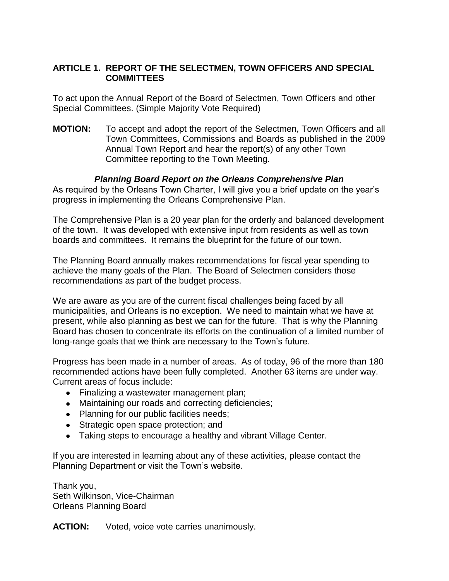# **ARTICLE 1. REPORT OF THE SELECTMEN, TOWN OFFICERS AND SPECIAL COMMITTEES**

To act upon the Annual Report of the Board of Selectmen, Town Officers and other Special Committees. (Simple Majority Vote Required)

**MOTION:** To accept and adopt the report of the Selectmen, Town Officers and all Town Committees, Commissions and Boards as published in the 2009 Annual Town Report and hear the report(s) of any other Town Committee reporting to the Town Meeting.

## *Planning Board Report on the Orleans Comprehensive Plan*

As required by the Orleans Town Charter, I will give you a brief update on the year's progress in implementing the Orleans Comprehensive Plan.

The Comprehensive Plan is a 20 year plan for the orderly and balanced development of the town. It was developed with extensive input from residents as well as town boards and committees. It remains the blueprint for the future of our town.

The Planning Board annually makes recommendations for fiscal year spending to achieve the many goals of the Plan. The Board of Selectmen considers those recommendations as part of the budget process.

We are aware as you are of the current fiscal challenges being faced by all municipalities, and Orleans is no exception. We need to maintain what we have at present, while also planning as best we can for the future. That is why the Planning Board has chosen to concentrate its efforts on the continuation of a limited number of long-range goals that we think are necessary to the Town's future.

Progress has been made in a number of areas. As of today, 96 of the more than 180 recommended actions have been fully completed. Another 63 items are under way. Current areas of focus include:

- Finalizing a wastewater management plan;
- Maintaining our roads and correcting deficiencies;
- Planning for our public facilities needs;
- Strategic open space protection; and
- Taking steps to encourage a healthy and vibrant Village Center.

If you are interested in learning about any of these activities, please contact the Planning Department or visit the Town's website.

Thank you, Seth Wilkinson, Vice-Chairman Orleans Planning Board

**ACTION:** Voted, voice vote carries unanimously.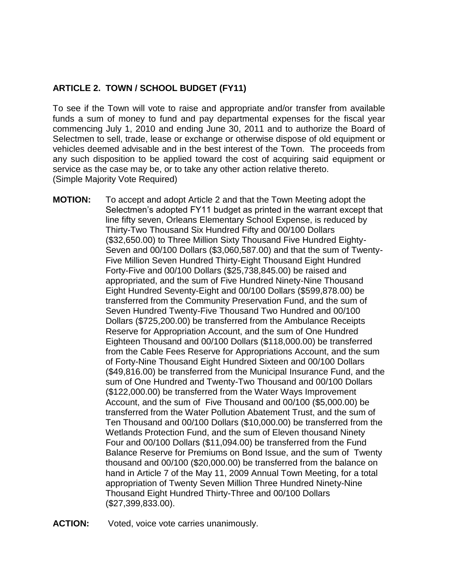# **ARTICLE 2. TOWN / SCHOOL BUDGET (FY11)**

To see if the Town will vote to raise and appropriate and/or transfer from available funds a sum of money to fund and pay departmental expenses for the fiscal year commencing July 1, 2010 and ending June 30, 2011 and to authorize the Board of Selectmen to sell, trade, lease or exchange or otherwise dispose of old equipment or vehicles deemed advisable and in the best interest of the Town. The proceeds from any such disposition to be applied toward the cost of acquiring said equipment or service as the case may be, or to take any other action relative thereto. (Simple Majority Vote Required)

- **MOTION:** To accept and adopt Article 2 and that the Town Meeting adopt the Selectmen's adopted FY11 budget as printed in the warrant except that line fifty seven, Orleans Elementary School Expense, is reduced by Thirty-Two Thousand Six Hundred Fifty and 00/100 Dollars (\$32,650.00) to Three Million Sixty Thousand Five Hundred Eighty-Seven and 00/100 Dollars (\$3,060,587.00) and that the sum of Twenty-Five Million Seven Hundred Thirty-Eight Thousand Eight Hundred Forty-Five and 00/100 Dollars (\$25,738,845.00) be raised and appropriated, and the sum of Five Hundred Ninety-Nine Thousand Eight Hundred Seventy-Eight and 00/100 Dollars (\$599,878.00) be transferred from the Community Preservation Fund, and the sum of Seven Hundred Twenty-Five Thousand Two Hundred and 00/100 Dollars (\$725,200.00) be transferred from the Ambulance Receipts Reserve for Appropriation Account, and the sum of One Hundred Eighteen Thousand and 00/100 Dollars (\$118,000.00) be transferred from the Cable Fees Reserve for Appropriations Account, and the sum of Forty-Nine Thousand Eight Hundred Sixteen and 00/100 Dollars (\$49,816.00) be transferred from the Municipal Insurance Fund, and the sum of One Hundred and Twenty-Two Thousand and 00/100 Dollars (\$122,000.00) be transferred from the Water Ways Improvement Account, and the sum of Five Thousand and 00/100 (\$5,000.00) be transferred from the Water Pollution Abatement Trust, and the sum of Ten Thousand and 00/100 Dollars (\$10,000.00) be transferred from the Wetlands Protection Fund, and the sum of Eleven thousand Ninety Four and 00/100 Dollars (\$11,094.00) be transferred from the Fund Balance Reserve for Premiums on Bond Issue, and the sum of Twenty thousand and 00/100 (\$20,000.00) be transferred from the balance on hand in Article 7 of the May 11, 2009 Annual Town Meeting, for a total appropriation of Twenty Seven Million Three Hundred Ninety-Nine Thousand Eight Hundred Thirty-Three and 00/100 Dollars (\$27,399,833.00).
- **ACTION:** Voted, voice vote carries unanimously.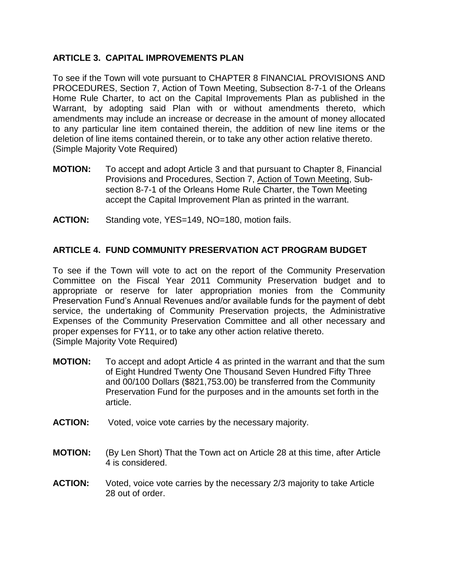# **ARTICLE 3. CAPITAL IMPROVEMENTS PLAN**

To see if the Town will vote pursuant to CHAPTER 8 FINANCIAL PROVISIONS AND PROCEDURES, Section 7, Action of Town Meeting, Subsection 8-7-1 of the Orleans Home Rule Charter, to act on the Capital Improvements Plan as published in the Warrant, by adopting said Plan with or without amendments thereto, which amendments may include an increase or decrease in the amount of money allocated to any particular line item contained therein, the addition of new line items or the deletion of line items contained therein, or to take any other action relative thereto. (Simple Majority Vote Required)

- **MOTION:** To accept and adopt Article 3 and that pursuant to Chapter 8, Financial Provisions and Procedures, Section 7, Action of Town Meeting, Subsection 8-7-1 of the Orleans Home Rule Charter, the Town Meeting accept the Capital Improvement Plan as printed in the warrant.
- **ACTION:** Standing vote, YES=149, NO=180, motion fails.

# **ARTICLE 4. FUND COMMUNITY PRESERVATION ACT PROGRAM BUDGET**

To see if the Town will vote to act on the report of the Community Preservation Committee on the Fiscal Year 2011 Community Preservation budget and to appropriate or reserve for later appropriation monies from the Community Preservation Fund's Annual Revenues and/or available funds for the payment of debt service, the undertaking of Community Preservation projects, the Administrative Expenses of the Community Preservation Committee and all other necessary and proper expenses for FY11, or to take any other action relative thereto. (Simple Majority Vote Required)

- **MOTION:** To accept and adopt Article 4 as printed in the warrant and that the sum of Eight Hundred Twenty One Thousand Seven Hundred Fifty Three and 00/100 Dollars (\$821,753.00) be transferred from the Community Preservation Fund for the purposes and in the amounts set forth in the article.
- **ACTION:** Voted, voice vote carries by the necessary majority.
- **MOTION:** (By Len Short) That the Town act on Article 28 at this time, after Article 4 is considered.
- **ACTION:** Voted, voice vote carries by the necessary 2/3 majority to take Article 28 out of order.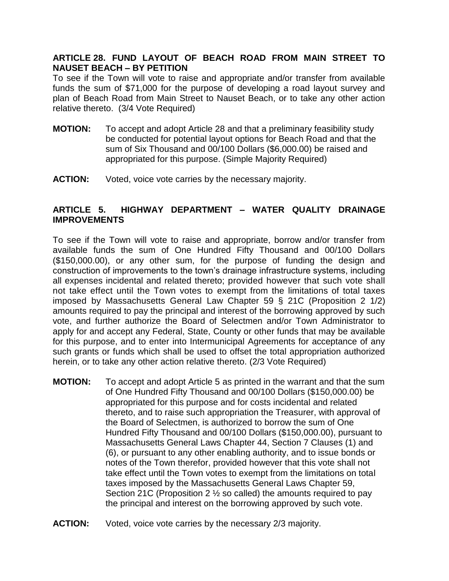## **ARTICLE 28. FUND LAYOUT OF BEACH ROAD FROM MAIN STREET TO NAUSET BEACH – BY PETITION**

To see if the Town will vote to raise and appropriate and/or transfer from available funds the sum of \$71,000 for the purpose of developing a road layout survey and plan of Beach Road from Main Street to Nauset Beach, or to take any other action relative thereto. (3/4 Vote Required)

- **MOTION:** To accept and adopt Article 28 and that a preliminary feasibility study be conducted for potential layout options for Beach Road and that the sum of Six Thousand and 00/100 Dollars (\$6,000.00) be raised and appropriated for this purpose. (Simple Majority Required)
- **ACTION:** Voted, voice vote carries by the necessary majority.

# **ARTICLE 5. HIGHWAY DEPARTMENT – WATER QUALITY DRAINAGE IMPROVEMENTS**

To see if the Town will vote to raise and appropriate, borrow and/or transfer from available funds the sum of One Hundred Fifty Thousand and 00/100 Dollars (\$150,000.00), or any other sum, for the purpose of funding the design and construction of improvements to the town's drainage infrastructure systems, including all expenses incidental and related thereto; provided however that such vote shall not take effect until the Town votes to exempt from the limitations of total taxes imposed by Massachusetts General Law Chapter 59 § 21C (Proposition 2 1/2) amounts required to pay the principal and interest of the borrowing approved by such vote, and further authorize the Board of Selectmen and/or Town Administrator to apply for and accept any Federal, State, County or other funds that may be available for this purpose, and to enter into Intermunicipal Agreements for acceptance of any such grants or funds which shall be used to offset the total appropriation authorized herein, or to take any other action relative thereto. (2/3 Vote Required)

- **MOTION:** To accept and adopt Article 5 as printed in the warrant and that the sum of One Hundred Fifty Thousand and 00/100 Dollars (\$150,000.00) be appropriated for this purpose and for costs incidental and related thereto, and to raise such appropriation the Treasurer, with approval of the Board of Selectmen, is authorized to borrow the sum of One Hundred Fifty Thousand and 00/100 Dollars (\$150,000.00), pursuant to Massachusetts General Laws Chapter 44, Section 7 Clauses (1) and (6), or pursuant to any other enabling authority, and to issue bonds or notes of the Town therefor, provided however that this vote shall not take effect until the Town votes to exempt from the limitations on total taxes imposed by the Massachusetts General Laws Chapter 59, Section 21C (Proposition 2 ½ so called) the amounts required to pay the principal and interest on the borrowing approved by such vote.
- **ACTION:** Voted, voice vote carries by the necessary 2/3 majority.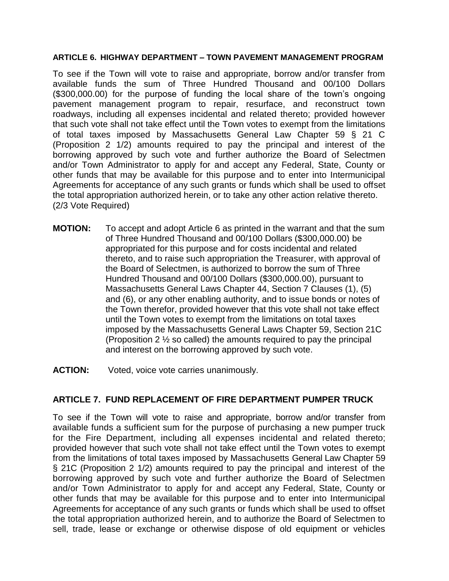#### **ARTICLE 6. HIGHWAY DEPARTMENT – TOWN PAVEMENT MANAGEMENT PROGRAM**

To see if the Town will vote to raise and appropriate, borrow and/or transfer from available funds the sum of Three Hundred Thousand and 00/100 Dollars (\$300,000.00) for the purpose of funding the local share of the town's ongoing pavement management program to repair, resurface, and reconstruct town roadways, including all expenses incidental and related thereto; provided however that such vote shall not take effect until the Town votes to exempt from the limitations of total taxes imposed by Massachusetts General Law Chapter 59 § 21 C (Proposition 2 1/2) amounts required to pay the principal and interest of the borrowing approved by such vote and further authorize the Board of Selectmen and/or Town Administrator to apply for and accept any Federal, State, County or other funds that may be available for this purpose and to enter into Intermunicipal Agreements for acceptance of any such grants or funds which shall be used to offset the total appropriation authorized herein, or to take any other action relative thereto. (2/3 Vote Required)

- **MOTION:** To accept and adopt Article 6 as printed in the warrant and that the sum of Three Hundred Thousand and 00/100 Dollars (\$300,000.00) be appropriated for this purpose and for costs incidental and related thereto, and to raise such appropriation the Treasurer, with approval of the Board of Selectmen, is authorized to borrow the sum of Three Hundred Thousand and 00/100 Dollars (\$300,000.00), pursuant to Massachusetts General Laws Chapter 44, Section 7 Clauses (1), (5) and (6), or any other enabling authority, and to issue bonds or notes of the Town therefor, provided however that this vote shall not take effect until the Town votes to exempt from the limitations on total taxes imposed by the Massachusetts General Laws Chapter 59, Section 21C (Proposition 2 ½ so called) the amounts required to pay the principal and interest on the borrowing approved by such vote.
- **ACTION:** Voted, voice vote carries unanimously.

## **ARTICLE 7. FUND REPLACEMENT OF FIRE DEPARTMENT PUMPER TRUCK**

To see if the Town will vote to raise and appropriate, borrow and/or transfer from available funds a sufficient sum for the purpose of purchasing a new pumper truck for the Fire Department, including all expenses incidental and related thereto; provided however that such vote shall not take effect until the Town votes to exempt from the limitations of total taxes imposed by Massachusetts General Law Chapter 59 § 21C (Proposition 2 1/2) amounts required to pay the principal and interest of the borrowing approved by such vote and further authorize the Board of Selectmen and/or Town Administrator to apply for and accept any Federal, State, County or other funds that may be available for this purpose and to enter into Intermunicipal Agreements for acceptance of any such grants or funds which shall be used to offset the total appropriation authorized herein, and to authorize the Board of Selectmen to sell, trade, lease or exchange or otherwise dispose of old equipment or vehicles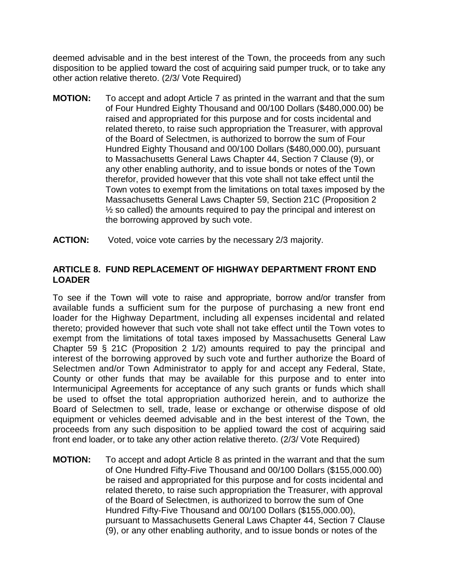deemed advisable and in the best interest of the Town, the proceeds from any such disposition to be applied toward the cost of acquiring said pumper truck, or to take any other action relative thereto. (2/3/ Vote Required)

- **MOTION:** To accept and adopt Article 7 as printed in the warrant and that the sum of Four Hundred Eighty Thousand and 00/100 Dollars (\$480,000.00) be raised and appropriated for this purpose and for costs incidental and related thereto, to raise such appropriation the Treasurer, with approval of the Board of Selectmen, is authorized to borrow the sum of Four Hundred Eighty Thousand and 00/100 Dollars (\$480,000.00), pursuant to Massachusetts General Laws Chapter 44, Section 7 Clause (9), or any other enabling authority, and to issue bonds or notes of the Town therefor, provided however that this vote shall not take effect until the Town votes to exempt from the limitations on total taxes imposed by the Massachusetts General Laws Chapter 59, Section 21C (Proposition 2  $\frac{1}{2}$  so called) the amounts required to pay the principal and interest on the borrowing approved by such vote.
- **ACTION:** Voted, voice vote carries by the necessary 2/3 majority.

# **ARTICLE 8. FUND REPLACEMENT OF HIGHWAY DEPARTMENT FRONT END LOADER**

To see if the Town will vote to raise and appropriate, borrow and/or transfer from available funds a sufficient sum for the purpose of purchasing a new front end loader for the Highway Department, including all expenses incidental and related thereto; provided however that such vote shall not take effect until the Town votes to exempt from the limitations of total taxes imposed by Massachusetts General Law Chapter 59 § 21C (Proposition 2 1/2) amounts required to pay the principal and interest of the borrowing approved by such vote and further authorize the Board of Selectmen and/or Town Administrator to apply for and accept any Federal, State, County or other funds that may be available for this purpose and to enter into Intermunicipal Agreements for acceptance of any such grants or funds which shall be used to offset the total appropriation authorized herein, and to authorize the Board of Selectmen to sell, trade, lease or exchange or otherwise dispose of old equipment or vehicles deemed advisable and in the best interest of the Town, the proceeds from any such disposition to be applied toward the cost of acquiring said front end loader, or to take any other action relative thereto. (2/3/ Vote Required)

**MOTION:** To accept and adopt Article 8 as printed in the warrant and that the sum of One Hundred Fifty-Five Thousand and 00/100 Dollars (\$155,000.00) be raised and appropriated for this purpose and for costs incidental and related thereto, to raise such appropriation the Treasurer, with approval of the Board of Selectmen, is authorized to borrow the sum of One Hundred Fifty-Five Thousand and 00/100 Dollars (\$155,000.00), pursuant to Massachusetts General Laws Chapter 44, Section 7 Clause (9), or any other enabling authority, and to issue bonds or notes of the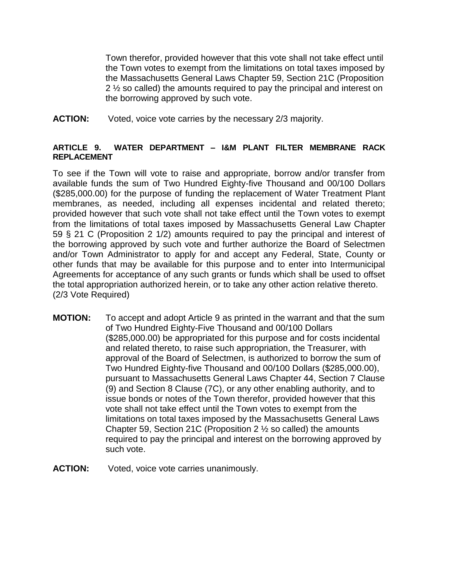Town therefor, provided however that this vote shall not take effect until the Town votes to exempt from the limitations on total taxes imposed by the Massachusetts General Laws Chapter 59, Section 21C (Proposition 2 <sup>1/2</sup> so called) the amounts required to pay the principal and interest on the borrowing approved by such vote.

**ACTION:** Voted, voice vote carries by the necessary 2/3 majority.

#### **ARTICLE 9. WATER DEPARTMENT – I&M PLANT FILTER MEMBRANE RACK REPLACEMENT**

To see if the Town will vote to raise and appropriate, borrow and/or transfer from available funds the sum of Two Hundred Eighty-five Thousand and 00/100 Dollars (\$285,000.00) for the purpose of funding the replacement of Water Treatment Plant membranes, as needed, including all expenses incidental and related thereto; provided however that such vote shall not take effect until the Town votes to exempt from the limitations of total taxes imposed by Massachusetts General Law Chapter 59 § 21 C (Proposition 2 1/2) amounts required to pay the principal and interest of the borrowing approved by such vote and further authorize the Board of Selectmen and/or Town Administrator to apply for and accept any Federal, State, County or other funds that may be available for this purpose and to enter into Intermunicipal Agreements for acceptance of any such grants or funds which shall be used to offset the total appropriation authorized herein, or to take any other action relative thereto. (2/3 Vote Required)

- **MOTION:** To accept and adopt Article 9 as printed in the warrant and that the sum of Two Hundred Eighty-Five Thousand and 00/100 Dollars (\$285,000.00) be appropriated for this purpose and for costs incidental and related thereto, to raise such appropriation, the Treasurer, with approval of the Board of Selectmen, is authorized to borrow the sum of Two Hundred Eighty-five Thousand and 00/100 Dollars (\$285,000.00), pursuant to Massachusetts General Laws Chapter 44, Section 7 Clause (9) and Section 8 Clause (7C), or any other enabling authority, and to issue bonds or notes of the Town therefor, provided however that this vote shall not take effect until the Town votes to exempt from the limitations on total taxes imposed by the Massachusetts General Laws Chapter 59, Section 21C (Proposition 2 ½ so called) the amounts required to pay the principal and interest on the borrowing approved by such vote.
- **ACTION:** Voted, voice vote carries unanimously.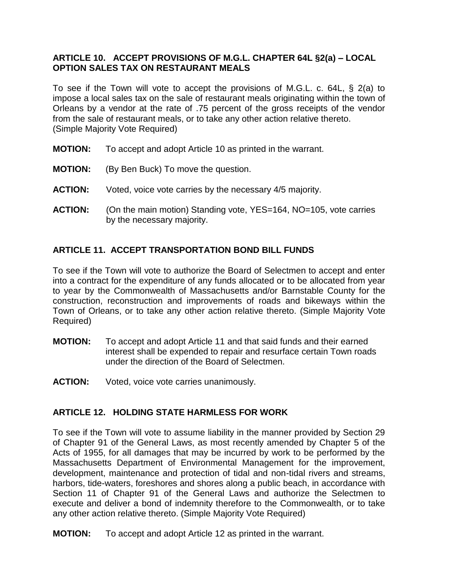# **ARTICLE 10. ACCEPT PROVISIONS OF M.G.L. CHAPTER 64L §2(a) – LOCAL OPTION SALES TAX ON RESTAURANT MEALS**

To see if the Town will vote to accept the provisions of M.G.L. c. 64L, § 2(a) to impose a local sales tax on the sale of restaurant meals originating within the town of Orleans by a vendor at the rate of .75 percent of the gross receipts of the vendor from the sale of restaurant meals, or to take any other action relative thereto. (Simple Majority Vote Required)

- **MOTION:** To accept and adopt Article 10 as printed in the warrant.
- **MOTION:** (By Ben Buck) To move the question.
- **ACTION:** Voted, voice vote carries by the necessary 4/5 majority.
- **ACTION:** (On the main motion) Standing vote, YES=164, NO=105, vote carries by the necessary majority.

# **ARTICLE 11. ACCEPT TRANSPORTATION BOND BILL FUNDS**

To see if the Town will vote to authorize the Board of Selectmen to accept and enter into a contract for the expenditure of any funds allocated or to be allocated from year to year by the Commonwealth of Massachusetts and/or Barnstable County for the construction, reconstruction and improvements of roads and bikeways within the Town of Orleans, or to take any other action relative thereto. (Simple Majority Vote Required)

- **MOTION:** To accept and adopt Article 11 and that said funds and their earned interest shall be expended to repair and resurface certain Town roads under the direction of the Board of Selectmen.
- **ACTION:** Voted, voice vote carries unanimously.

## **ARTICLE 12. HOLDING STATE HARMLESS FOR WORK**

To see if the Town will vote to assume liability in the manner provided by Section 29 of Chapter 91 of the General Laws, as most recently amended by Chapter 5 of the Acts of 1955, for all damages that may be incurred by work to be performed by the Massachusetts Department of Environmental Management for the improvement, development, maintenance and protection of tidal and non-tidal rivers and streams, harbors, tide-waters, foreshores and shores along a public beach, in accordance with Section 11 of Chapter 91 of the General Laws and authorize the Selectmen to execute and deliver a bond of indemnity therefore to the Commonwealth, or to take any other action relative thereto. (Simple Majority Vote Required)

**MOTION:** To accept and adopt Article 12 as printed in the warrant.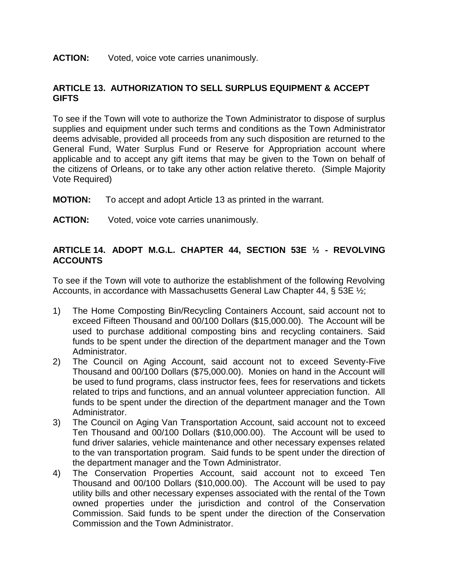#### **ACTION:** Voted, voice vote carries unanimously.

# **ARTICLE 13. AUTHORIZATION TO SELL SURPLUS EQUIPMENT & ACCEPT GIFTS**

To see if the Town will vote to authorize the Town Administrator to dispose of surplus supplies and equipment under such terms and conditions as the Town Administrator deems advisable, provided all proceeds from any such disposition are returned to the General Fund, Water Surplus Fund or Reserve for Appropriation account where applicable and to accept any gift items that may be given to the Town on behalf of the citizens of Orleans, or to take any other action relative thereto. (Simple Majority Vote Required)

**MOTION:** To accept and adopt Article 13 as printed in the warrant.

**ACTION:** Voted, voice vote carries unanimously.

# **ARTICLE 14. ADOPT M.G.L. CHAPTER 44, SECTION 53E ½ - REVOLVING ACCOUNTS**

To see if the Town will vote to authorize the establishment of the following Revolving Accounts, in accordance with Massachusetts General Law Chapter 44, § 53E ½;

- 1) The Home Composting Bin/Recycling Containers Account, said account not to exceed Fifteen Thousand and 00/100 Dollars (\$15,000.00). The Account will be used to purchase additional composting bins and recycling containers. Said funds to be spent under the direction of the department manager and the Town Administrator.
- 2) The Council on Aging Account, said account not to exceed Seventy-Five Thousand and 00/100 Dollars (\$75,000.00). Monies on hand in the Account will be used to fund programs, class instructor fees, fees for reservations and tickets related to trips and functions, and an annual volunteer appreciation function. All funds to be spent under the direction of the department manager and the Town Administrator.
- 3) The Council on Aging Van Transportation Account, said account not to exceed Ten Thousand and 00/100 Dollars (\$10,000.00). The Account will be used to fund driver salaries, vehicle maintenance and other necessary expenses related to the van transportation program. Said funds to be spent under the direction of the department manager and the Town Administrator.
- 4) The Conservation Properties Account, said account not to exceed Ten Thousand and 00/100 Dollars (\$10,000.00). The Account will be used to pay utility bills and other necessary expenses associated with the rental of the Town owned properties under the jurisdiction and control of the Conservation Commission. Said funds to be spent under the direction of the Conservation Commission and the Town Administrator.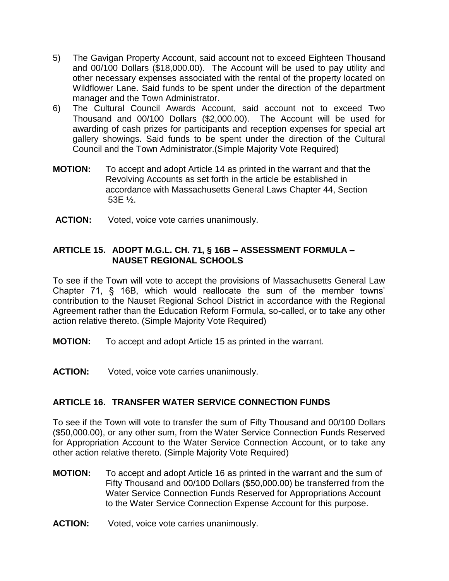- 5) The Gavigan Property Account, said account not to exceed Eighteen Thousand and 00/100 Dollars (\$18,000.00). The Account will be used to pay utility and other necessary expenses associated with the rental of the property located on Wildflower Lane. Said funds to be spent under the direction of the department manager and the Town Administrator.
- 6) The Cultural Council Awards Account, said account not to exceed Two Thousand and 00/100 Dollars (\$2,000.00). The Account will be used for awarding of cash prizes for participants and reception expenses for special art gallery showings. Said funds to be spent under the direction of the Cultural Council and the Town Administrator.(Simple Majority Vote Required)
- **MOTION:** To accept and adopt Article 14 as printed in the warrant and that the Revolving Accounts as set forth in the article be established in accordance with Massachusetts General Laws Chapter 44, Section 53E ½.
- **ACTION:** Voted, voice vote carries unanimously.

# **ARTICLE 15. ADOPT M.G.L. CH. 71, § 16B – ASSESSMENT FORMULA – NAUSET REGIONAL SCHOOLS**

To see if the Town will vote to accept the provisions of Massachusetts General Law Chapter 71, § 16B, which would reallocate the sum of the member towns' contribution to the Nauset Regional School District in accordance with the Regional Agreement rather than the Education Reform Formula, so-called, or to take any other action relative thereto. (Simple Majority Vote Required)

- **MOTION:** To accept and adopt Article 15 as printed in the warrant.
- **ACTION:** Voted, voice vote carries unanimously.

# **ARTICLE 16. TRANSFER WATER SERVICE CONNECTION FUNDS**

To see if the Town will vote to transfer the sum of Fifty Thousand and 00/100 Dollars (\$50,000.00), or any other sum, from the Water Service Connection Funds Reserved for Appropriation Account to the Water Service Connection Account, or to take any other action relative thereto. (Simple Majority Vote Required)

- **MOTION:** To accept and adopt Article 16 as printed in the warrant and the sum of Fifty Thousand and 00/100 Dollars (\$50,000.00) be transferred from the Water Service Connection Funds Reserved for Appropriations Account to the Water Service Connection Expense Account for this purpose.
- **ACTION:** Voted, voice vote carries unanimously.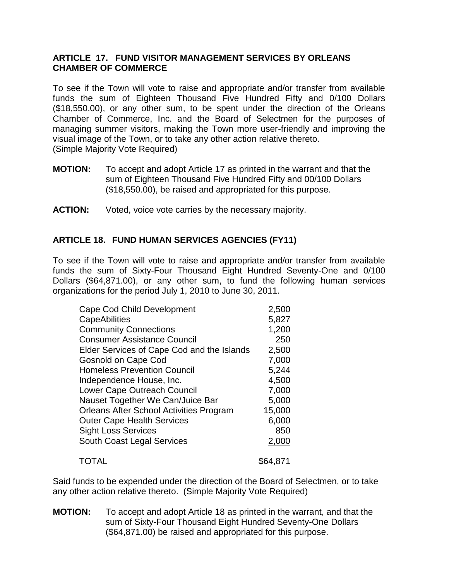## **ARTICLE 17. FUND VISITOR MANAGEMENT SERVICES BY ORLEANS CHAMBER OF COMMERCE**

To see if the Town will vote to raise and appropriate and/or transfer from available funds the sum of Eighteen Thousand Five Hundred Fifty and 0/100 Dollars (\$18,550.00), or any other sum, to be spent under the direction of the Orleans Chamber of Commerce, Inc. and the Board of Selectmen for the purposes of managing summer visitors, making the Town more user-friendly and improving the visual image of the Town, or to take any other action relative thereto. (Simple Majority Vote Required)

- **MOTION:** To accept and adopt Article 17 as printed in the warrant and that the sum of Eighteen Thousand Five Hundred Fifty and 00/100 Dollars (\$18,550.00), be raised and appropriated for this purpose.
- **ACTION:** Voted, voice vote carries by the necessary majority.

# **ARTICLE 18. FUND HUMAN SERVICES AGENCIES (FY11)**

To see if the Town will vote to raise and appropriate and/or transfer from available funds the sum of Sixty-Four Thousand Eight Hundred Seventy-One and 0/100 Dollars (\$64,871.00), or any other sum, to fund the following human services organizations for the period July 1, 2010 to June 30, 2011.

| <b>Cape Cod Child Development</b>          | 2,500    |  |
|--------------------------------------------|----------|--|
| CapeAbilities                              | 5,827    |  |
| <b>Community Connections</b>               | 1,200    |  |
| <b>Consumer Assistance Council</b>         | 250      |  |
| Elder Services of Cape Cod and the Islands | 2,500    |  |
| <b>Gosnold on Cape Cod</b>                 | 7,000    |  |
| <b>Homeless Prevention Council</b>         | 5,244    |  |
| Independence House, Inc.                   | 4,500    |  |
| Lower Cape Outreach Council                | 7,000    |  |
| Nauset Together We Can/Juice Bar           | 5,000    |  |
| Orleans After School Activities Program    | 15,000   |  |
| <b>Outer Cape Health Services</b>          | 6,000    |  |
| <b>Sight Loss Services</b>                 | 850      |  |
| South Coast Legal Services                 | 2,000    |  |
| TOTAL                                      | \$64,871 |  |

Said funds to be expended under the direction of the Board of Selectmen, or to take any other action relative thereto. (Simple Majority Vote Required)

**MOTION:** To accept and adopt Article 18 as printed in the warrant, and that the sum of Sixty-Four Thousand Eight Hundred Seventy-One Dollars (\$64,871.00) be raised and appropriated for this purpose.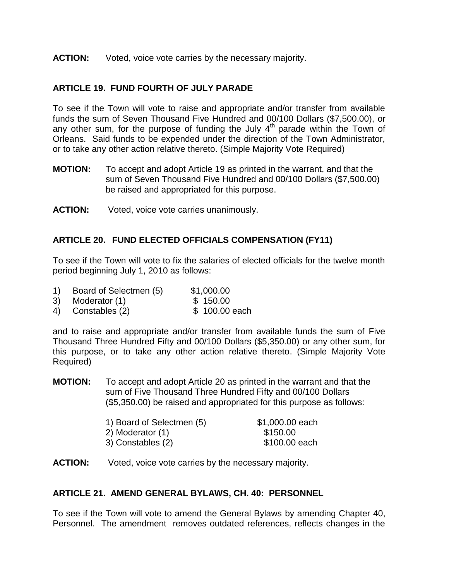#### **ACTION:** Voted, voice vote carries by the necessary majority.

# **ARTICLE 19. FUND FOURTH OF JULY PARADE**

To see if the Town will vote to raise and appropriate and/or transfer from available funds the sum of Seven Thousand Five Hundred and 00/100 Dollars (\$7,500.00), or any other sum, for the purpose of funding the July  $4<sup>th</sup>$  parade within the Town of Orleans. Said funds to be expended under the direction of the Town Administrator, or to take any other action relative thereto. (Simple Majority Vote Required)

- **MOTION:** To accept and adopt Article 19 as printed in the warrant, and that the sum of Seven Thousand Five Hundred and 00/100 Dollars (\$7,500.00) be raised and appropriated for this purpose.
- **ACTION:** Voted, voice vote carries unanimously.

# **ARTICLE 20. FUND ELECTED OFFICIALS COMPENSATION (FY11)**

To see if the Town will vote to fix the salaries of elected officials for the twelve month period beginning July 1, 2010 as follows:

- 1) Board of Selectmen (5) \$1,000.00
- 3) Moderator (1) \$ 150.00
- 4) Constables (2) \$ 100.00 each

and to raise and appropriate and/or transfer from available funds the sum of Five Thousand Three Hundred Fifty and 00/100 Dollars (\$5,350.00) or any other sum, for this purpose, or to take any other action relative thereto. (Simple Majority Vote Required)

**MOTION:** To accept and adopt Article 20 as printed in the warrant and that the sum of Five Thousand Three Hundred Fifty and 00/100 Dollars (\$5,350.00) be raised and appropriated for this purpose as follows:

| 1) Board of Selectmen (5) | \$1,000.00 each |
|---------------------------|-----------------|
| 2) Moderator (1)          | \$150.00        |
| 3) Constables (2)         | \$100.00 each   |

#### **ACTION:** Voted, voice vote carries by the necessary majority.

## **ARTICLE 21. AMEND GENERAL BYLAWS, CH. 40: PERSONNEL**

To see if the Town will vote to amend the General Bylaws by amending Chapter 40, Personnel. The amendment removes outdated references, reflects changes in the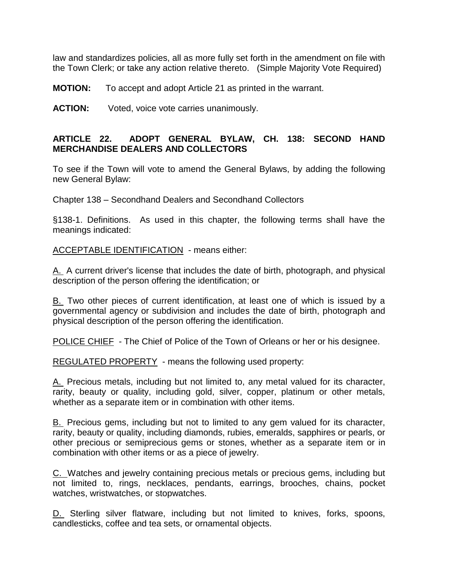law and standardizes policies, all as more fully set forth in the amendment on file with the Town Clerk; or take any action relative thereto. (Simple Majority Vote Required)

**MOTION:** To accept and adopt Article 21 as printed in the warrant.

**ACTION:** Voted, voice vote carries unanimously.

# **ARTICLE 22. ADOPT GENERAL BYLAW, CH. 138: SECOND HAND MERCHANDISE DEALERS AND COLLECTORS**

To see if the Town will vote to amend the General Bylaws, by adding the following new General Bylaw:

Chapter 138 – Secondhand Dealers and Secondhand Collectors

§138-1. Definitions. As used in this chapter, the following terms shall have the meanings indicated:

[ACCEPTABLE IDENTIFICATION](http://www.ecode360.com/?custId=BA2043&guid=13223632&j=555) - means either:

[A.](http://www.ecode360.com/?custId=BA2043&guid=13223633&j=404) A current driver's license that includes the date of birth, photograph, and physical description of the person offering the identification; or

[B.](http://www.ecode360.com/?custId=BA2043&guid=13223634&j=404) Two other pieces of current identification, at least one of which is issued by a governmental agency or subdivision and includes the date of birth, photograph and physical description of the person offering the identification.

[POLICE CHIEF](http://www.ecode360.com/?custId=BA2043&guid=13223635&j=555) - The Chief of Police of the Town of Orleans or her or his designee.

[REGULATED PROPERTY](http://www.ecode360.com/?custId=BA2043&guid=13223636&j=555) - means the following used property:

[A.](http://www.ecode360.com/?custId=BA2043&guid=13223637&j=404) Precious metals, including but not limited to, any metal valued for its character, rarity, beauty or quality, including gold, silver, copper, platinum or other metals, whether as a separate item or in combination with other items.

[B.](http://www.ecode360.com/?custId=BA2043&guid=13223638&j=404) Precious gems, including but not to limited to any gem valued for its character, rarity, beauty or quality, including diamonds, rubies, emeralds, sapphires or pearls, or other precious or semiprecious gems or stones, whether as a separate item or in combination with other items or as a piece of jewelry.

[C. W](http://www.ecode360.com/?custId=BA2043&guid=13223639&j=404)atches and jewelry containing precious metals or precious gems, including but not limited to, rings, necklaces, pendants, earrings, brooches, chains, pocket watches, wristwatches, or stopwatches.

[D.](http://www.ecode360.com/?custId=BA2043&guid=13223640&j=404) Sterling silver flatware, including but not limited to knives, forks, spoons, candlesticks, coffee and tea sets, or ornamental objects.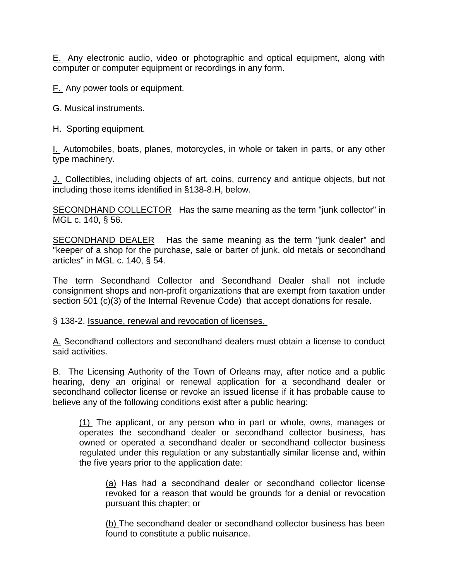[E.](http://www.ecode360.com/?custId=BA2043&guid=13223641&j=404) Any electronic audio, video or photographic and optical equipment, along with computer or computer equipment or recordings in any form.

[F.](http://www.ecode360.com/?custId=BA2043&guid=13223642&j=404) Any power tools or equipment.

G. Musical instruments.

[H.](http://www.ecode360.com/?custId=BA2043&guid=13223644&j=404) Sporting equipment.

[I.](http://www.ecode360.com/?custId=BA2043&guid=13223645&j=404) Automobiles, boats, planes, motorcycles, in whole or taken in parts, or any other type machinery.

[J.](http://www.ecode360.com/?custId=BA2043&guid=13223646&j=404) Collectibles, including objects of art, coins, currency and antique objects, but not including those items identified in §138-8.H, below.

[SECONDHAND COLLECTOR](http://www.ecode360.com/?custId=BA2043&guid=13223647&j=555) Has the same meaning as the term "junk collector" in MGL c. 140, § 56.

[SECONDHAND DEALER](http://www.ecode360.com/?custId=BA2043&guid=13223648&j=555) Has the same meaning as the term "junk dealer" and "keeper of a shop for the purchase, sale or barter of junk, old metals or secondhand articles" in MGL c. 140, § 54.

The term Secondhand Collector and Secondhand Dealer shall not include consignment shops and non-profit organizations that are exempt from taxation under section 501 (c)(3) of the Internal Revenue Code) that accept donations for resale.

#### § 138-2. [Issuance, renewal and revocation of licenses.](http://www.ecode360.com/?custId=BA2043&guid=6565125&j=13)

[A.](http://www.ecode360.com/?custId=BA2043&guid=13223649&j=23) Secondhand collectors and secondhand dealers must obtain a license to conduct said activities.

B. The Licensing Authority of the Town of Orleans may, after notice and a public hearing, deny an original or renewal application for a secondhand dealer or secondhand collector license or revoke an issued license if it has probable cause to believe any of the following conditions exist after a public hearing:

[\(1\)](http://www.ecode360.com/?custId=BA2043&guid=13223651&j=23) The applicant, or any person who in part or whole, owns, manages or operates the secondhand dealer or secondhand collector business, has owned or operated a secondhand dealer or secondhand collector business regulated under this regulation or any substantially similar license and, within the five years prior to the application date:

[\(a\)](http://www.ecode360.com/?custId=BA2043&guid=13223652&j=23) Has had a secondhand dealer or secondhand collector license revoked for a reason that would be grounds for a denial or revocation pursuant this chapter; or

[\(b\)](http://www.ecode360.com/?custId=BA2043&guid=13223653&j=23) The secondhand dealer or secondhand collector business has been found to constitute a public nuisance.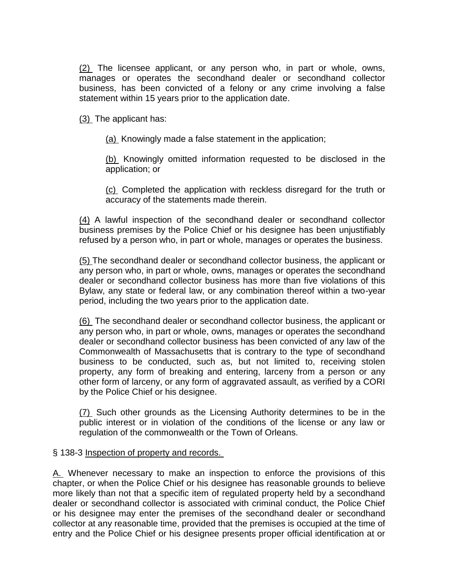[\(2\)](http://www.ecode360.com/?custId=BA2043&guid=13223654&j=23) The licensee applicant, or any person who, in part or whole, owns, manages or operates the secondhand dealer or secondhand collector business, has been convicted of a felony or any crime involving a false statement within 15 years prior to the application date.

[\(3\)](http://www.ecode360.com/?custId=BA2043&guid=13223655&j=23) The applicant has:

[\(a\)](http://www.ecode360.com/?custId=BA2043&guid=13223656&j=23) Knowingly made a false statement in the application;

[\(b\)](http://www.ecode360.com/?custId=BA2043&guid=13223657&j=23) Knowingly omitted information requested to be disclosed in the application; or

[\(c\)](http://www.ecode360.com/?custId=BA2043&guid=13223658&j=23) Completed the application with reckless disregard for the truth or accuracy of the statements made therein.

[\(4\)](http://www.ecode360.com/?custId=BA2043&guid=13223659&j=23) A lawful inspection of the secondhand dealer or secondhand collector business premises by the Police Chief or his designee has been unjustifiably refused by a person who, in part or whole, manages or operates the business.

[\(5\)](http://www.ecode360.com/?custId=BA2043&guid=13223660&j=23) The secondhand dealer or secondhand collector business, the applicant or any person who, in part or whole, owns, manages or operates the secondhand dealer or secondhand collector business has more than five violations of this Bylaw, any state or federal law, or any combination thereof within a two-year period, including the two years prior to the application date.

[\(6\)](http://www.ecode360.com/?custId=BA2043&guid=13223661&j=23) The secondhand dealer or secondhand collector business, the applicant or any person who, in part or whole, owns, manages or operates the secondhand dealer or secondhand collector business has been convicted of any law of the Commonwealth of Massachusetts that is contrary to the type of secondhand business to be conducted, such as, but not limited to, receiving stolen property, any form of breaking and entering, larceny from a person or any other form of larceny, or any form of aggravated assault, as verified by a CORI by the Police Chief or his designee.

[\(7\)](http://www.ecode360.com/?custId=BA2043&guid=13223662&j=23) Such other grounds as the Licensing Authority determines to be in the public interest or in violation of the conditions of the license or any law or regulation of the commonwealth or the Town of Orleans.

# § 138-3 [Inspection of property and records.](http://www.ecode360.com/?custId=BA2043&guid=6565126&j=13)

[A.](http://www.ecode360.com/?custId=BA2043&guid=13223663&j=23) Whenever necessary to make an inspection to enforce the provisions of this chapter, or when the Police Chief or his designee has reasonable grounds to believe more likely than not that a specific item of regulated property held by a secondhand dealer or secondhand collector is associated with criminal conduct, the Police Chief or his designee may enter the premises of the secondhand dealer or secondhand collector at any reasonable time, provided that the premises is occupied at the time of entry and the Police Chief or his designee presents proper official identification at or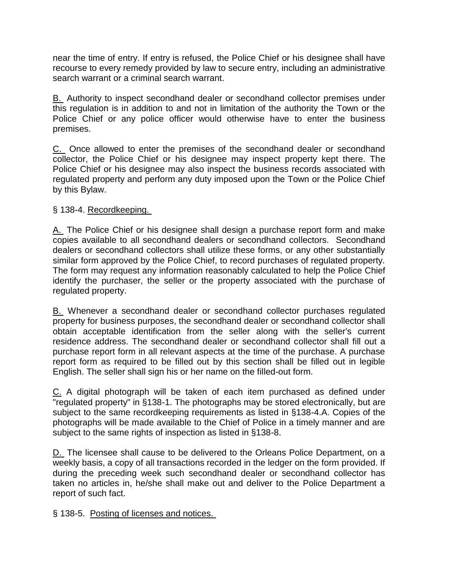near the time of entry. If entry is refused, the Police Chief or his designee shall have recourse to every remedy provided by law to secure entry, including an administrative search warrant or a criminal search warrant.

[B.](http://www.ecode360.com/?custId=BA2043&guid=13223664&j=23) Authority to inspect secondhand dealer or secondhand collector premises under this regulation is in addition to and not in limitation of the authority the Town or the Police Chief or any police officer would otherwise have to enter the business premises.

[C.](http://www.ecode360.com/?custId=BA2043&guid=13223665&j=23) Once allowed to enter the premises of the secondhand dealer or secondhand collector, the Police Chief or his designee may inspect property kept there. The Police Chief or his designee may also inspect the business records associated with regulated property and perform any duty imposed upon the Town or the Police Chief by this Bylaw.

# § 138-4. [Recordkeeping.](http://www.ecode360.com/?custId=BA2043&guid=6565127&j=13)

[A.](http://www.ecode360.com/?custId=BA2043&guid=13223666&j=23) The Police Chief or his designee shall design a purchase report form and make copies available to all secondhand dealers or secondhand collectors. Secondhand dealers or secondhand collectors shall utilize these forms, or any other substantially similar form approved by the Police Chief, to record purchases of regulated property. The form may request any information reasonably calculated to help the Police Chief identify the purchaser, the seller or the property associated with the purchase of regulated property.

[B.](http://www.ecode360.com/?custId=BA2043&guid=13223667&j=23) Whenever a secondhand dealer or secondhand collector purchases regulated property for business purposes, the secondhand dealer or secondhand collector shall obtain acceptable identification from the seller along with the seller's current residence address. The secondhand dealer or secondhand collector shall fill out a purchase report form in all relevant aspects at the time of the purchase. A purchase report form as required to be filled out by this section shall be filled out in legible English. The seller shall sign his or her name on the filled-out form.

[C.](http://www.ecode360.com/?custId=BA2043&guid=13223668&j=23) A digital photograph will be taken of each item purchased as defined under "regulated property" in §138-1. The photographs may be stored electronically, but are subject to the same recordkeeping requirements as listed in §138-4.A. Copies of the photographs will be made available to the Chief of Police in a timely manner and are subject to the same rights of inspection as listed in §138-8.

[D.](http://www.ecode360.com/?custId=BA2043&guid=13223669&j=23) The licensee shall cause to be delivered to the Orleans Police Department, on a weekly basis, a copy of all transactions recorded in the ledger on the form provided. If during the preceding week such secondhand dealer or secondhand collector has taken no articles in, he/she shall make out and deliver to the Police Department a report of such fact.

§ 138-5. [Posting of licenses and notices.](http://www.ecode360.com/?custId=BA2043&guid=6565128&j=13)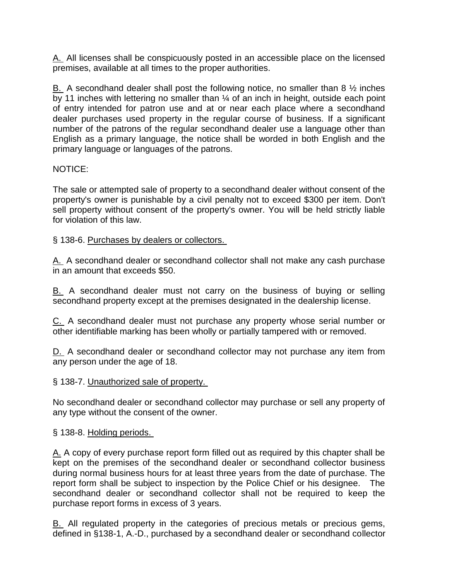[A.](http://www.ecode360.com/?custId=BA2043&guid=13223670&j=23) All licenses shall be conspicuously posted in an accessible place on the licensed premises, available at all times to the proper authorities.

[B.](http://www.ecode360.com/?custId=BA2043&guid=13223671&j=23) A secondhand dealer shall post the following notice, no smaller than 8  $\frac{1}{2}$  inches by 11 inches with lettering no smaller than 1/4 of an inch in height, outside each point of entry intended for patron use and at or near each place where a secondhand dealer purchases used property in the regular course of business. If a significant number of the patrons of the regular secondhand dealer use a language other than English as a primary language, the notice shall be worded in both English and the primary language or languages of the patrons.

# NOTICE:

The sale or attempted sale of property to a secondhand dealer without consent of the property's owner is punishable by a civil penalty not to exceed \$300 per item. Don't sell property without consent of the property's owner. You will be held strictly liable for violation of this law.

# § 138-6. [Purchases by dealers or collectors.](http://www.ecode360.com/?custId=BA2043&guid=6565129&j=13)

[A.](http://www.ecode360.com/?custId=BA2043&guid=13223672&j=23) A secondhand dealer or secondhand collector shall not make any cash purchase in an amount that exceeds \$50.

[B.](http://www.ecode360.com/?custId=BA2043&guid=13223673&j=23) A secondhand dealer must not carry on the business of buying or selling secondhand property except at the premises designated in the dealership license.

[C.](http://www.ecode360.com/?custId=BA2043&guid=13223674&j=23) A secondhand dealer must not purchase any property whose serial number or other identifiable marking has been wholly or partially tampered with or removed.

[D.](http://www.ecode360.com/?custId=BA2043&guid=13223675&j=23) A secondhand dealer or secondhand collector may not purchase any item from any person under the age of 18.

# § 138-7. [Unauthorized sale of property.](http://www.ecode360.com/?custId=BA2043&guid=6565130&j=13)

No secondhand dealer or secondhand collector may purchase or sell any property of any type without the consent of the owner.

# § 138-8. [Holding periods.](http://www.ecode360.com/?custId=BA2043&guid=6565131&j=13)

[A.](http://www.ecode360.com/?custId=BA2043&guid=6565132&j=23) A copy of every purchase report form filled out as required by this chapter shall be kept on the premises of the secondhand dealer or secondhand collector business during normal business hours for at least three years from the date of purchase. The report form shall be subject to inspection by the Police Chief or his designee. The secondhand dealer or secondhand collector shall not be required to keep the purchase report forms in excess of 3 years.

[B.](http://www.ecode360.com/?custId=BA2043&guid=6565133&j=23) All regulated property in the categories of precious metals or precious gems, defined in §138-1, A.-D., purchased by a secondhand dealer or secondhand collector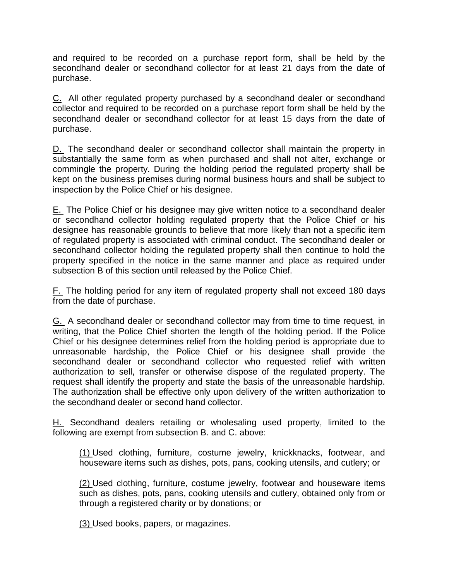and required to be recorded on a purchase report form, shall be held by the secondhand dealer or secondhand collector for at least 21 days from the date of purchase.

[C.](http://www.ecode360.com/?custId=BA2043&guid=13223678&j=23) All other regulated property purchased by a secondhand dealer or secondhand collector and required to be recorded on a purchase report form shall be held by the secondhand dealer or secondhand collector for at least 15 days from the date of purchase.

[D.](http://www.ecode360.com/?custId=BA2043&guid=13223679&j=23) The secondhand dealer or secondhand collector shall maintain the property in substantially the same form as when purchased and shall not alter, exchange or commingle the property. During the holding period the regulated property shall be kept on the business premises during normal business hours and shall be subject to inspection by the Police Chief or his designee.

[E.](http://www.ecode360.com/?custId=BA2043&guid=13223680&j=23) The Police Chief or his designee may give written notice to a secondhand dealer or secondhand collector holding regulated property that the Police Chief or his designee has reasonable grounds to believe that more likely than not a specific item of regulated property is associated with criminal conduct. The secondhand dealer or secondhand collector holding the regulated property shall then continue to hold the property specified in the notice in the same manner and place as required under subsection B of this section until released by the Police Chief.

[F.](http://www.ecode360.com/?custId=BA2043&guid=13223681&j=23) The holding period for any item of regulated property shall not exceed 180 days from the date of purchase.

[G.](http://www.ecode360.com/?custId=BA2043&guid=13223682&j=23) A secondhand dealer or secondhand collector may from time to time request, in writing, that the Police Chief shorten the length of the holding period. If the Police Chief or his designee determines relief from the holding period is appropriate due to unreasonable hardship, the Police Chief or his designee shall provide the secondhand dealer or secondhand collector who requested relief with written authorization to sell, transfer or otherwise dispose of the regulated property. The request shall identify the property and state the basis of the unreasonable hardship. The authorization shall be effective only upon delivery of the written authorization to the secondhand dealer or second hand collector.

[H.](http://www.ecode360.com/?custId=BA2043&guid=13223683&j=23) Secondhand dealers retailing or wholesaling used property, limited to the following are exempt from subsection B. and C. above:

[\(1\)](http://www.ecode360.com/?custId=BA2043&guid=13223684&j=23) Used clothing, furniture, costume jewelry, knickknacks, footwear, and houseware items such as dishes, pots, pans, cooking utensils, and cutlery; or

[\(2\)](http://www.ecode360.com/?custId=BA2043&guid=13223685&j=23) Used clothing, furniture, costume jewelry, footwear and houseware items such as dishes, pots, pans, cooking utensils and cutlery, obtained only from or through a registered charity or by donations; or

[\(3\)](http://www.ecode360.com/?custId=BA2043&guid=13223686&j=23) Used books, papers, or magazines.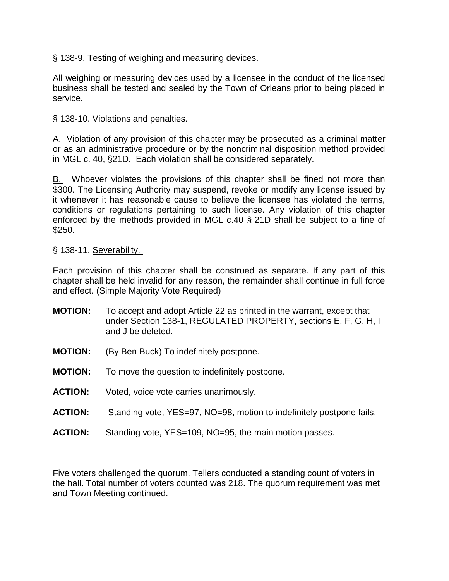# § 138-9. [Testing of weighing and measuring devices.](http://www.ecode360.com/?custId=BA2043&guid=13223687&j=13)

All weighing or measuring devices used by a licensee in the conduct of the licensed business shall be tested and sealed by the Town of Orleans prior to being placed in service.

# § 138-10. [Violations and penalties.](http://www.ecode360.com/?custId=BA2043&guid=13223688&j=13)

[A.](http://www.ecode360.com/?custId=BA2043&guid=13223689&j=23) Violation of any provision of this chapter may be prosecuted as a criminal matter or as an administrative procedure or by the noncriminal disposition method provided in MGL c. 40, §21D. Each violation shall be considered separately.

[B.](http://www.ecode360.com/?custId=BA2043&guid=13223690&j=23) Whoever violates the provisions of this chapter shall be fined not more than \$300. The Licensing Authority may suspend, revoke or modify any license issued by it whenever it has reasonable cause to believe the licensee has violated the terms, conditions or regulations pertaining to such license. Any violation of this chapter enforced by the methods provided in MGL c.40 § 21D shall be subject to a fine of \$250.

## § 138-11. [Severability.](http://www.ecode360.com/?custId=BA2043&guid=13223691&j=13)

Each provision of this chapter shall be construed as separate. If any part of this chapter shall be held invalid for any reason, the remainder shall continue in full force and effect. (Simple Majority Vote Required)

- **MOTION:** To accept and adopt Article 22 as printed in the warrant, except that under Section 138-1, REGULATED PROPERTY, sections E, F, G, H, I and J be deleted.
- **MOTION:** (By Ben Buck) To indefinitely postpone.
- **MOTION:** To move the question to indefinitely postpone.
- **ACTION:** Voted, voice vote carries unanimously.
- **ACTION:** Standing vote, YES=97, NO=98, motion to indefinitely postpone fails.
- **ACTION:** Standing vote, YES=109, NO=95, the main motion passes.

Five voters challenged the quorum. Tellers conducted a standing count of voters in the hall. Total number of voters counted was 218. The quorum requirement was met and Town Meeting continued.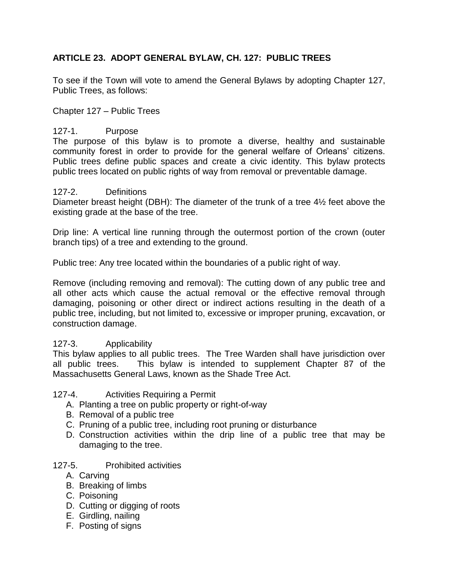# **ARTICLE 23. ADOPT GENERAL BYLAW, CH. 127: PUBLIC TREES**

To see if the Town will vote to amend the General Bylaws by adopting Chapter 127, Public Trees, as follows:

Chapter 127 – Public Trees

# 127-1. Purpose

The purpose of this bylaw is to promote a diverse, healthy and sustainable community forest in order to provide for the general welfare of Orleans' citizens. Public trees define public spaces and create a civic identity. This bylaw protects public trees located on public rights of way from removal or preventable damage.

#### 127-2. Definitions

Diameter breast height (DBH): The diameter of the trunk of a tree 4½ feet above the existing grade at the base of the tree.

Drip line: A vertical line running through the outermost portion of the crown (outer branch tips) of a tree and extending to the ground.

Public tree: Any tree located within the boundaries of a public right of way.

Remove (including removing and removal): The cutting down of any public tree and all other acts which cause the actual removal or the effective removal through damaging, poisoning or other direct or indirect actions resulting in the death of a public tree, including, but not limited to, excessive or improper pruning, excavation, or construction damage.

## 127-3. Applicability

This bylaw applies to all public trees. The Tree Warden shall have jurisdiction over all public trees. This bylaw is intended to supplement Chapter 87 of the Massachusetts General Laws, known as the Shade Tree Act.

## 127-4. Activities Requiring a Permit

- A. Planting a tree on public property or right-of-way
- B. Removal of a public tree
- C. Pruning of a public tree, including root pruning or disturbance
- D. Construction activities within the drip line of a public tree that may be damaging to the tree.

## 127-5. Prohibited activities

- A. Carving
- B. Breaking of limbs
- C. Poisoning
- D. Cutting or digging of roots
- E. Girdling, nailing
- F. Posting of signs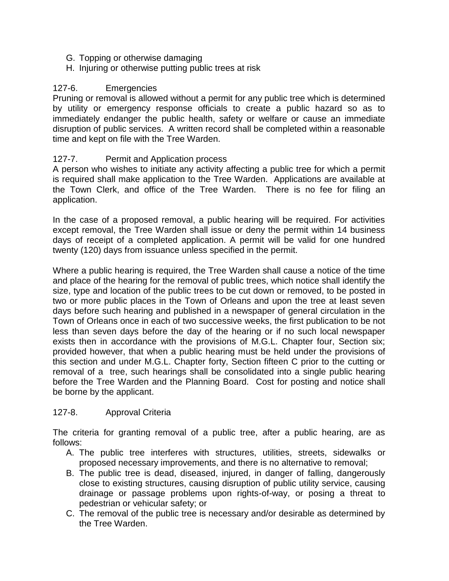- G. Topping or otherwise damaging
- H. Injuring or otherwise putting public trees at risk

# 127-6. Emergencies

Pruning or removal is allowed without a permit for any public tree which is determined by utility or emergency response officials to create a public hazard so as to immediately endanger the public health, safety or welfare or cause an immediate disruption of public services. A written record shall be completed within a reasonable time and kept on file with the Tree Warden.

# 127-7. Permit and Application process

A person who wishes to initiate any activity affecting a public tree for which a permit is required shall make application to the Tree Warden. Applications are available at the Town Clerk, and office of the Tree Warden. There is no fee for filing an application.

In the case of a proposed removal, a public hearing will be required. For activities except removal, the Tree Warden shall issue or deny the permit within 14 business days of receipt of a completed application. A permit will be valid for one hundred twenty (120) days from issuance unless specified in the permit.

Where a public hearing is required, the Tree Warden shall cause a notice of the time and place of the hearing for the removal of public trees, which notice shall identify the size, type and location of the public trees to be cut down or removed, to be posted in two or more public places in the Town of Orleans and upon the tree at least seven days before such hearing and published in a newspaper of general circulation in the Town of Orleans once in each of two successive weeks, the first publication to be not less than seven days before the day of the hearing or if no such local newspaper exists then in accordance with the provisions of M.G.L. Chapter four, Section six; provided however, that when a public hearing must be held under the provisions of this section and under M.G.L. Chapter forty, Section fifteen C prior to the cutting or removal of a tree, such hearings shall be consolidated into a single public hearing before the Tree Warden and the Planning Board. Cost for posting and notice shall be borne by the applicant.

## 127-8. Approval Criteria

The criteria for granting removal of a public tree, after a public hearing, are as follows:

- A. The public tree interferes with structures, utilities, streets, sidewalks or proposed necessary improvements, and there is no alternative to removal;
- B. The public tree is dead, diseased, injured, in danger of falling, dangerously close to existing structures, causing disruption of public utility service, causing drainage or passage problems upon rights-of-way, or posing a threat to pedestrian or vehicular safety; or
- C. The removal of the public tree is necessary and/or desirable as determined by the Tree Warden.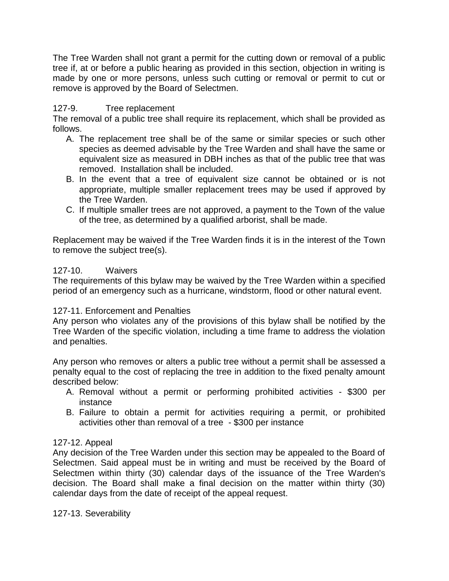The Tree Warden shall not grant a permit for the cutting down or removal of a public tree if, at or before a public hearing as provided in this section, objection in writing is made by one or more persons, unless such cutting or removal or permit to cut or remove is approved by the Board of Selectmen.

# 127-9. Tree replacement

The removal of a public tree shall require its replacement, which shall be provided as follows.

- A. The replacement tree shall be of the same or similar species or such other species as deemed advisable by the Tree Warden and shall have the same or equivalent size as measured in DBH inches as that of the public tree that was removed. Installation shall be included.
- B. In the event that a tree of equivalent size cannot be obtained or is not appropriate, multiple smaller replacement trees may be used if approved by the Tree Warden.
- C. If multiple smaller trees are not approved, a payment to the Town of the value of the tree, as determined by a qualified arborist, shall be made.

Replacement may be waived if the Tree Warden finds it is in the interest of the Town to remove the subject tree(s).

## 127-10. Waivers

The requirements of this bylaw may be waived by the Tree Warden within a specified period of an emergency such as a hurricane, windstorm, flood or other natural event.

## 127-11. Enforcement and Penalties

Any person who violates any of the provisions of this bylaw shall be notified by the Tree Warden of the specific violation, including a time frame to address the violation and penalties.

Any person who removes or alters a public tree without a permit shall be assessed a penalty equal to the cost of replacing the tree in addition to the fixed penalty amount described below:

- A. Removal without a permit or performing prohibited activities \$300 per instance
- B. Failure to obtain a permit for activities requiring a permit, or prohibited activities other than removal of a tree - \$300 per instance

## 127-12. Appeal

Any decision of the Tree Warden under this section may be appealed to the Board of Selectmen. Said appeal must be in writing and must be received by the Board of Selectmen within thirty (30) calendar days of the issuance of the Tree Warden's decision. The Board shall make a final decision on the matter within thirty (30) calendar days from the date of receipt of the appeal request.

127-13. Severability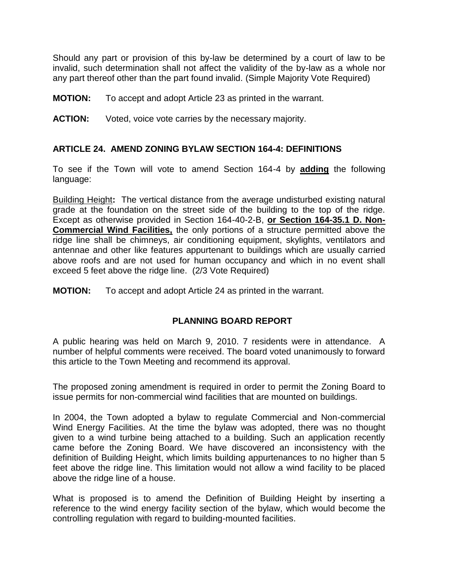Should any part or provision of this by-law be determined by a court of law to be invalid, such determination shall not affect the validity of the by-law as a whole nor any part thereof other than the part found invalid. (Simple Majority Vote Required)

**MOTION:** To accept and adopt Article 23 as printed in the warrant.

**ACTION:** Voted, voice vote carries by the necessary majority.

# **ARTICLE 24. AMEND ZONING BYLAW SECTION 164-4: DEFINITIONS**

To see if the Town will vote to amend Section 164-4 by **adding** the following language:

Building Height**:** The vertical distance from the average undisturbed existing natural grade at the foundation on the street side of the building to the top of the ridge. Except as otherwise provided in Section 164-40-2-B, **or Section 164-35.1 D. Non-Commercial Wind Facilities,** the only portions of a structure permitted above the ridge line shall be chimneys, air conditioning equipment, skylights, ventilators and antennae and other like features appurtenant to buildings which are usually carried above roofs and are not used for human occupancy and which in no event shall exceed 5 feet above the ridge line. (2/3 Vote Required)

**MOTION:** To accept and adopt Article 24 as printed in the warrant.

# **PLANNING BOARD REPORT**

A public hearing was held on March 9, 2010. 7 residents were in attendance. A number of helpful comments were received. The board voted unanimously to forward this article to the Town Meeting and recommend its approval.

The proposed zoning amendment is required in order to permit the Zoning Board to issue permits for non-commercial wind facilities that are mounted on buildings.

In 2004, the Town adopted a bylaw to regulate Commercial and Non-commercial Wind Energy Facilities. At the time the bylaw was adopted, there was no thought given to a wind turbine being attached to a building. Such an application recently came before the Zoning Board. We have discovered an inconsistency with the definition of Building Height, which limits building appurtenances to no higher than 5 feet above the ridge line. This limitation would not allow a wind facility to be placed above the ridge line of a house.

What is proposed is to amend the Definition of Building Height by inserting a reference to the wind energy facility section of the bylaw, which would become the controlling regulation with regard to building-mounted facilities.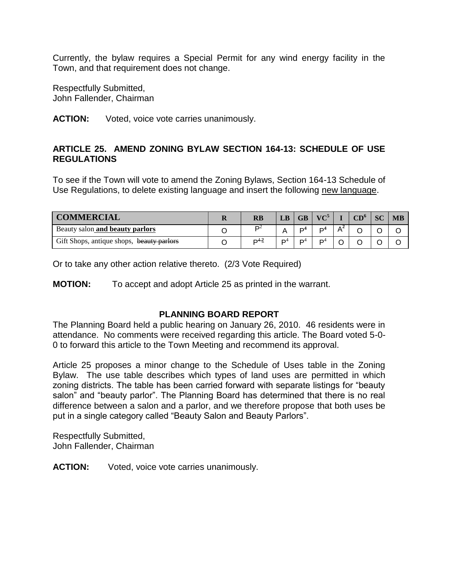Currently, the bylaw requires a Special Permit for any wind energy facility in the Town, and that requirement does not change.

Respectfully Submitted, John Fallender, Chairman

#### **ACTION:** Voted, voice vote carries unanimously.

# **ARTICLE 25. AMEND ZONING BYLAW SECTION 164-13: SCHEDULE OF USE REGULATIONS**

To see if the Town will vote to amend the Zoning Bylaws, Section 164-13 Schedule of Use Regulations, to delete existing language and insert the following new language.

| <b>COMMERCIAL</b>                         | RB        | LB             | $\overline{GB}$ | $VC^5$         |       | $CD^{\circ}$ | <b>SC</b> | <b>MB</b> |
|-------------------------------------------|-----------|----------------|-----------------|----------------|-------|--------------|-----------|-----------|
| Beauty salon and beauty parlors           | ∍∽        |                | D <sup>4</sup>  | D <sup>4</sup> | $A^2$ |              |           |           |
| Gift Shops, antique shops, beauty parlors | $D^{4.2}$ | D <sup>4</sup> | D               | D <sup>4</sup> |       |              |           |           |

Or to take any other action relative thereto. (2/3 Vote Required)

**MOTION:** To accept and adopt Article 25 as printed in the warrant.

## **PLANNING BOARD REPORT**

The Planning Board held a public hearing on January 26, 2010. 46 residents were in attendance. No comments were received regarding this article. The Board voted 5-0- 0 to forward this article to the Town Meeting and recommend its approval.

Article 25 proposes a minor change to the Schedule of Uses table in the Zoning Bylaw. The use table describes which types of land uses are permitted in which zoning districts. The table has been carried forward with separate listings for "beauty salon" and "beauty parlor". The Planning Board has determined that there is no real difference between a salon and a parlor, and we therefore propose that both uses be put in a single category called "Beauty Salon and Beauty Parlors".

Respectfully Submitted, John Fallender, Chairman

**ACTION:** Voted, voice vote carries unanimously.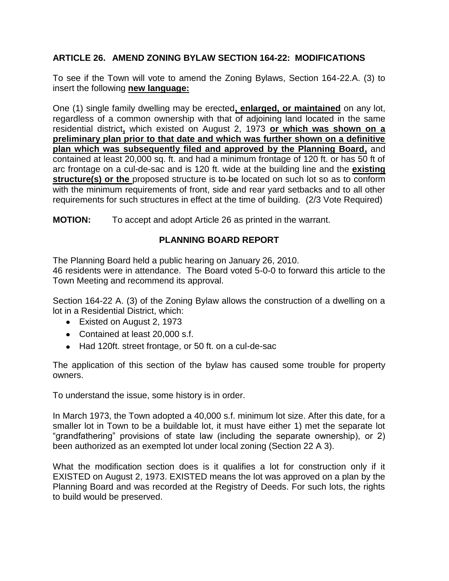# **ARTICLE 26. AMEND ZONING BYLAW SECTION 164-22: MODIFICATIONS**

To see if the Town will vote to amend the Zoning Bylaws, Section 164-22.A. (3) to insert the following **new language:**

One (1) single family dwelling may be erected**, enlarged, or maintained** on any lot, regardless of a common ownership with that of adjoining land located in the same residential district**,** which existed on August 2, 1973 **or which was shown on a preliminary plan prior to that date and which was further shown on a definitive plan which was subsequently filed and approved by the Planning Board,** and contained at least 20,000 sq. ft. and had a minimum frontage of 120 ft. or has 50 ft of arc frontage on a cul-de-sac and is 120 ft. wide at the building line and the **existing structure(s) or the** proposed structure is to be located on such lot so as to conform with the minimum requirements of front, side and rear yard setbacks and to all other requirements for such structures in effect at the time of building. (2/3 Vote Required)

**MOTION:** To accept and adopt Article 26 as printed in the warrant.

# **PLANNING BOARD REPORT**

The Planning Board held a public hearing on January 26, 2010.

46 residents were in attendance. The Board voted 5-0-0 to forward this article to the Town Meeting and recommend its approval.

Section 164-22 A. (3) of the Zoning Bylaw allows the construction of a dwelling on a lot in a Residential District, which:

- Existed on August 2, 1973
- Contained at least 20,000 s.f.
- Had 120ft. street frontage, or 50 ft. on a cul-de-sac

The application of this section of the bylaw has caused some trouble for property owners.

To understand the issue, some history is in order.

In March 1973, the Town adopted a 40,000 s.f. minimum lot size. After this date, for a smaller lot in Town to be a buildable lot, it must have either 1) met the separate lot "grandfathering" provisions of state law (including the separate ownership), or 2) been authorized as an exempted lot under local zoning (Section 22 A 3).

What the modification section does is it qualifies a lot for construction only if it EXISTED on August 2, 1973. EXISTED means the lot was approved on a plan by the Planning Board and was recorded at the Registry of Deeds. For such lots, the rights to build would be preserved.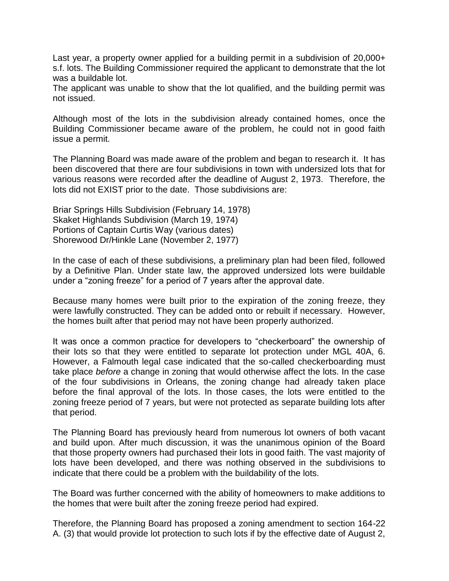Last year, a property owner applied for a building permit in a subdivision of 20,000+ s.f. lots. The Building Commissioner required the applicant to demonstrate that the lot was a buildable lot.

The applicant was unable to show that the lot qualified, and the building permit was not issued.

Although most of the lots in the subdivision already contained homes, once the Building Commissioner became aware of the problem, he could not in good faith issue a permit.

The Planning Board was made aware of the problem and began to research it. It has been discovered that there are four subdivisions in town with undersized lots that for various reasons were recorded after the deadline of August 2, 1973. Therefore, the lots did not EXIST prior to the date. Those subdivisions are:

Briar Springs Hills Subdivision (February 14, 1978) Skaket Highlands Subdivision (March 19, 1974) Portions of Captain Curtis Way (various dates) Shorewood Dr/Hinkle Lane (November 2, 1977)

In the case of each of these subdivisions, a preliminary plan had been filed, followed by a Definitive Plan. Under state law, the approved undersized lots were buildable under a "zoning freeze" for a period of 7 years after the approval date.

Because many homes were built prior to the expiration of the zoning freeze, they were lawfully constructed. They can be added onto or rebuilt if necessary. However, the homes built after that period may not have been properly authorized.

It was once a common practice for developers to "checkerboard" the ownership of their lots so that they were entitled to separate lot protection under MGL 40A, 6. However, a Falmouth legal case indicated that the so-called checkerboarding must take place *before* a change in zoning that would otherwise affect the lots. In the case of the four subdivisions in Orleans, the zoning change had already taken place before the final approval of the lots. In those cases, the lots were entitled to the zoning freeze period of 7 years, but were not protected as separate building lots after that period.

The Planning Board has previously heard from numerous lot owners of both vacant and build upon. After much discussion, it was the unanimous opinion of the Board that those property owners had purchased their lots in good faith. The vast majority of lots have been developed, and there was nothing observed in the subdivisions to indicate that there could be a problem with the buildability of the lots.

The Board was further concerned with the ability of homeowners to make additions to the homes that were built after the zoning freeze period had expired.

Therefore, the Planning Board has proposed a zoning amendment to section 164-22 A. (3) that would provide lot protection to such lots if by the effective date of August 2,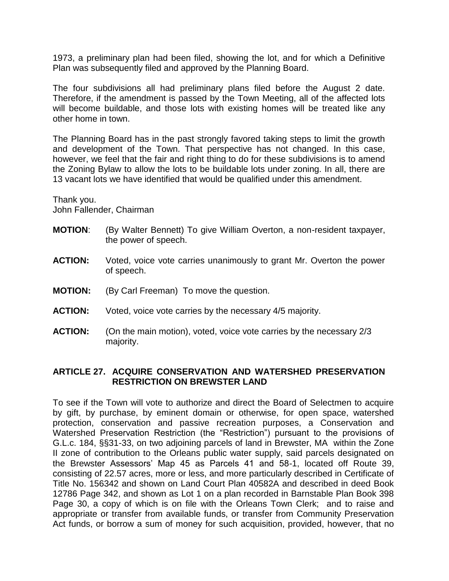1973, a preliminary plan had been filed, showing the lot, and for which a Definitive Plan was subsequently filed and approved by the Planning Board.

The four subdivisions all had preliminary plans filed before the August 2 date. Therefore, if the amendment is passed by the Town Meeting, all of the affected lots will become buildable, and those lots with existing homes will be treated like any other home in town.

The Planning Board has in the past strongly favored taking steps to limit the growth and development of the Town. That perspective has not changed. In this case, however, we feel that the fair and right thing to do for these subdivisions is to amend the Zoning Bylaw to allow the lots to be buildable lots under zoning. In all, there are 13 vacant lots we have identified that would be qualified under this amendment.

Thank you. John Fallender, Chairman

- **MOTION**: (By Walter Bennett) To give William Overton, a non-resident taxpayer, the power of speech.
- **ACTION:** Voted, voice vote carries unanimously to grant Mr. Overton the power of speech.
- **MOTION:** (By Carl Freeman) To move the question.
- **ACTION:** Voted, voice vote carries by the necessary 4/5 majority.
- **ACTION:** (On the main motion), voted, voice vote carries by the necessary 2/3 majority.

## **ARTICLE 27. ACQUIRE CONSERVATION AND WATERSHED PRESERVATION RESTRICTION ON BREWSTER LAND**

To see if the Town will vote to authorize and direct the Board of Selectmen to acquire by gift, by purchase, by eminent domain or otherwise, for open space, watershed protection, conservation and passive recreation purposes, a Conservation and Watershed Preservation Restriction (the "Restriction") pursuant to the provisions of G.L.c. 184, §§31-33, on two adjoining parcels of land in Brewster, MA within the Zone II zone of contribution to the Orleans public water supply, said parcels designated on the Brewster Assessors' Map 45 as Parcels 41 and 58-1, located off Route 39, consisting of 22.57 acres, more or less, and more particularly described in Certificate of Title No. 156342 and shown on Land Court Plan 40582A and described in deed Book 12786 Page 342, and shown as Lot 1 on a plan recorded in Barnstable Plan Book 398 Page 30, a copy of which is on file with the Orleans Town Clerk; and to raise and appropriate or transfer from available funds, or transfer from Community Preservation Act funds, or borrow a sum of money for such acquisition, provided, however, that no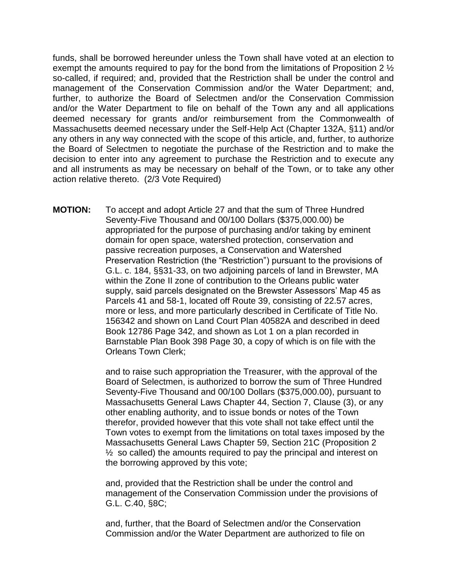funds, shall be borrowed hereunder unless the Town shall have voted at an election to exempt the amounts required to pay for the bond from the limitations of Proposition 2 ½ so-called, if required; and, provided that the Restriction shall be under the control and management of the Conservation Commission and/or the Water Department; and, further, to authorize the Board of Selectmen and/or the Conservation Commission and/or the Water Department to file on behalf of the Town any and all applications deemed necessary for grants and/or reimbursement from the Commonwealth of Massachusetts deemed necessary under the Self-Help Act (Chapter 132A, §11) and/or any others in any way connected with the scope of this article, and, further, to authorize the Board of Selectmen to negotiate the purchase of the Restriction and to make the decision to enter into any agreement to purchase the Restriction and to execute any and all instruments as may be necessary on behalf of the Town, or to take any other action relative thereto. (2/3 Vote Required)

**MOTION:** To accept and adopt Article 27 and that the sum of Three Hundred Seventy-Five Thousand and 00/100 Dollars (\$375,000.00) be appropriated for the purpose of purchasing and/or taking by eminent domain for open space, watershed protection, conservation and passive recreation purposes, a Conservation and Watershed Preservation Restriction (the "Restriction") pursuant to the provisions of G.L. c. 184, §§31-33, on two adjoining parcels of land in Brewster, MA within the Zone II zone of contribution to the Orleans public water supply, said parcels designated on the Brewster Assessors' Map 45 as Parcels 41 and 58-1, located off Route 39, consisting of 22.57 acres, more or less, and more particularly described in Certificate of Title No. 156342 and shown on Land Court Plan 40582A and described in deed Book 12786 Page 342, and shown as Lot 1 on a plan recorded in Barnstable Plan Book 398 Page 30, a copy of which is on file with the Orleans Town Clerk;

> and to raise such appropriation the Treasurer, with the approval of the Board of Selectmen, is authorized to borrow the sum of Three Hundred Seventy-Five Thousand and 00/100 Dollars (\$375,000.00), pursuant to Massachusetts General Laws Chapter 44, Section 7, Clause (3), or any other enabling authority, and to issue bonds or notes of the Town therefor, provided however that this vote shall not take effect until the Town votes to exempt from the limitations on total taxes imposed by the Massachusetts General Laws Chapter 59, Section 21C (Proposition 2  $\frac{1}{2}$  so called) the amounts required to pay the principal and interest on the borrowing approved by this vote;

and, provided that the Restriction shall be under the control and management of the Conservation Commission under the provisions of G.L. C.40, §8C;

and, further, that the Board of Selectmen and/or the Conservation Commission and/or the Water Department are authorized to file on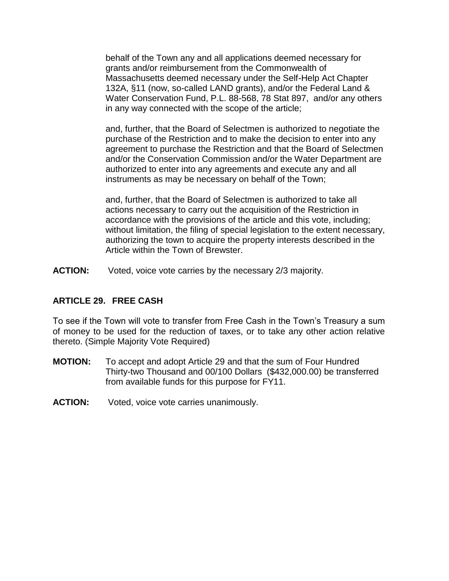behalf of the Town any and all applications deemed necessary for grants and/or reimbursement from the Commonwealth of Massachusetts deemed necessary under the Self-Help Act Chapter 132A, §11 (now, so-called LAND grants), and/or the Federal Land & Water Conservation Fund, P.L. 88-568, 78 Stat 897, and/or any others in any way connected with the scope of the article;

and, further, that the Board of Selectmen is authorized to negotiate the purchase of the Restriction and to make the decision to enter into any agreement to purchase the Restriction and that the Board of Selectmen and/or the Conservation Commission and/or the Water Department are authorized to enter into any agreements and execute any and all instruments as may be necessary on behalf of the Town;

and, further, that the Board of Selectmen is authorized to take all actions necessary to carry out the acquisition of the Restriction in accordance with the provisions of the article and this vote, including; without limitation, the filing of special legislation to the extent necessary, authorizing the town to acquire the property interests described in the Article within the Town of Brewster.

**ACTION:** Voted, voice vote carries by the necessary 2/3 majority.

## **ARTICLE 29. FREE CASH**

To see if the Town will vote to transfer from Free Cash in the Town's Treasury a sum of money to be used for the reduction of taxes, or to take any other action relative thereto. (Simple Majority Vote Required)

- **MOTION:** To accept and adopt Article 29 and that the sum of Four Hundred Thirty-two Thousand and 00/100 Dollars (\$432,000.00) be transferred from available funds for this purpose for FY11.
- **ACTION:** Voted, voice vote carries unanimously.